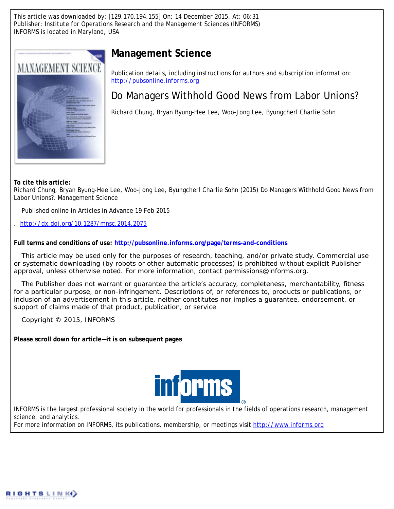This article was downloaded by: [129.170.194.155] On: 14 December 2015, At: 06:31 Publisher: Institute for Operations Research and the Management Sciences (INFORMS) INFORMS is located in Maryland, USA



# **Management Science**

Publication details, including instructions for authors and subscription information: <http://pubsonline.informs.org>

# Do Managers Withhold Good News from Labor Unions?

Richard Chung, Bryan Byung-Hee Lee, Woo-Jong Lee, Byungcherl Charlie Sohn

**To cite this article:**

Richard Chung, Bryan Byung-Hee Lee, Woo-Jong Lee, Byungcherl Charlie Sohn (2015) Do Managers Withhold Good News from Labor Unions?. Management Science

Published online in Articles in Advance 19 Feb 2015

. <http://dx.doi.org/10.1287/mnsc.2014.2075>

**Full terms and conditions of use: <http://pubsonline.informs.org/page/terms-and-conditions>**

This article may be used only for the purposes of research, teaching, and/or private study. Commercial use or systematic downloading (by robots or other automatic processes) is prohibited without explicit Publisher approval, unless otherwise noted. For more information, contact permissions@informs.org.

The Publisher does not warrant or guarantee the article's accuracy, completeness, merchantability, fitness for a particular purpose, or non-infringement. Descriptions of, or references to, products or publications, or inclusion of an advertisement in this article, neither constitutes nor implies a guarantee, endorsement, or support of claims made of that product, publication, or service.

Copyright © 2015, INFORMS

**Please scroll down for article—it is on subsequent pages**



INFORMS is the largest professional society in the world for professionals in the fields of operations research, management science, and analytics.

For more information on INFORMS, its publications, membership, or meetings visit <http://www.informs.org>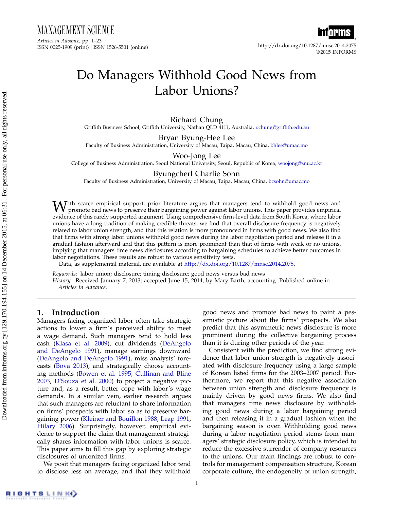MANAGEMENT SCIENCE Articles in Advance, pp. 1–23 ISSN 0025-1909 (print) ISSN 1526-5501 (online) http://dx.doi.org/10.1287/mnsc.2014.2075



© 2015 INFORMS

# Do Managers Withhold Good News from Labor Unions?

Richard Chung Griffith Business School, Griffith University, Nathan QLD 4111, Australia, [r.chung@griffith.edu.au](mailto:r.chung@griffith.edu.au)

Bryan Byung-Hee Lee Faculty of Business Administration, University of Macau, Taipa, Macau, China, [bhlee@umac.mo](mailto:bhlee@umac.mo)

Woo-Jong Lee

College of Business Administration, Seoul National University, Seoul, Republic of Korea, [woojong@snu.ac.kr](mailto:woojong@snu.ac.kr)

Byungcherl Charlie Sohn

Faculty of Business Administration, University of Macau, Taipa, Macau, China, [bcsohn@umac.mo](mailto:bcsohn@umac.mo)

With scarce empirical support, prior literature argues that managers tend to withhold good news and<br>promote bad news to preserve their bargaining power against labor unions. This paper provides empirical<br>intervals of the m evidence of this rarely supported argument. Using comprehensive firm-level data from South Korea, where labor unions have a long tradition of making credible threats, we find that overall disclosure frequency is negatively related to labor union strength, and that this relation is more pronounced in firms with good news. We also find that firms with strong labor unions withhold good news during the labor negotiation period and release it in a gradual fashion afterward and that this pattern is more prominent than that of firms with weak or no unions, implying that managers time news disclosures according to bargaining schedules to achieve better outcomes in labor negotiations. These results are robust to various sensitivity tests.

Data, as supplemental material, are available at [http://dx.doi.org/10.1287/mnsc.2014.2075.](http://dx.doi.org/10.1287/mnsc.2014.2075)

Keywords: labor union; disclosure; timing disclosure; good news versus bad news

History: Received January 7, 2013; accepted June 15, 2014, by Mary Barth, accounting. Published online in Articles in Advance.

## 1. Introduction

Managers facing organized labor often take strategic actions to lower a firm's perceived ability to meet a wage demand. Such managers tend to hold less cash [\(Klasa et al.](#page-22-0) [2009\)](#page-22-0), cut dividends [\(DeAngelo](#page-22-1) [and DeAngelo](#page-22-1) [1991\)](#page-22-1), manage earnings downward [\(DeAngelo and DeAngelo](#page-22-1) [1991\)](#page-22-1), miss analysts' forecasts [\(Bova](#page-22-2) [2013\)](#page-22-2), and strategically choose accounting methods [\(Bowen et al.](#page-22-3) [1995,](#page-22-3) [Cullinan and Bline](#page-22-4) [2003,](#page-22-4) [D'Souza et al.](#page-22-5) [2000\)](#page-22-5) to project a negative picture and, as a result, better cope with labor's wage demands. In a similar vein, earlier research argues that such managers are reluctant to share information on firms' prospects with labor so as to preserve bargaining power [\(Kleiner and Bouillon](#page-22-6) [1988,](#page-22-6) [Leap](#page-22-7) [1991,](#page-22-7) [Hilary](#page-22-8) [2006\)](#page-22-8). Surprisingly, however, empirical evidence to support the claim that management strategically shares information with labor unions is scarce. This paper aims to fill this gap by exploring strategic disclosures of unionized firms.

We posit that managers facing organized labor tend to disclose less on average, and that they withhold good news and promote bad news to paint a pessimistic picture about the firms' prospects. We also predict that this asymmetric news disclosure is more prominent during the collective bargaining process than it is during other periods of the year.

Consistent with the prediction, we find strong evidence that labor union strength is negatively associated with disclosure frequency using a large sample of Korean listed firms for the 2003–2007 period. Furthermore, we report that this negative association between union strength and disclosure frequency is mainly driven by good news firms. We also find that managers time news disclosure by withholding good news during a labor bargaining period and then releasing it in a gradual fashion when the bargaining season is over. Withholding good news during a labor negotiation period stems from managers' strategic disclosure policy, which is intended to reduce the excessive surrender of company resources to the unions. Our main findings are robust to controls for management compensation structure, Korean corporate culture, the endogeneity of union strength,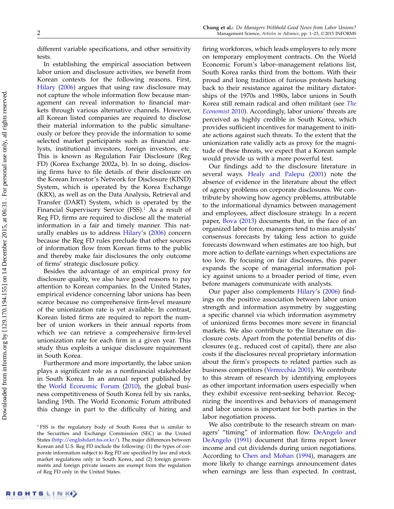different variable specifications, and other sensitivity tests.

In establishing the empirical association between labor union and disclosure activities, we benefit from Korean contexts for the following reasons. First, [Hilary](#page-22-8) [\(2006\)](#page-22-8) argues that using raw disclosure may not capture the whole information flow because management can reveal information to financial markets through various alternative channels. However, all Korean listed companies are required to disclose their material information to the public simultaneously or before they provide the information to some selected market participants such as financial analysts, institutional investors, foreign investors, etc. This is known as Regulation Fair Disclosure (Reg FD) (Korea Exchange 2002a, b). In so doing, disclosing firms have to file details of their disclosure on the Korean Investor's Network for Disclosure (KIND) System, which is operated by the Korea Exchange (KRX), as well as on the Data Analysis, Retrieval and Transfer (DART) System, which is operated by the Financial Supervisory Service  $(FSS)$ .<sup>[1](#page-2-0)</sup> As a result of Reg FD, firms are required to disclose all the material information in a fair and timely manner. This naturally enables us to address [Hilary'](#page-22-8)s [\(2006\)](#page-22-8) concern because the Reg FD rules preclude that other sources of information flow from Korean firms to the public and thereby make fair disclosures the only outcome of firms' strategic disclosure policy.

Besides the advantage of an empirical proxy for disclosure quality, we also have good reasons to pay attention to Korean companies. In the United States, empirical evidence concerning labor unions has been scarce because no comprehensive firm-level measure of the unionization rate is yet available. In contrast, Korean listed firms are required to report the number of union workers in their annual reports from which we can retrieve a comprehensive firm-level unionization rate for each firm in a given year. This study thus exploits a unique disclosure requirement in South Korea.

Furthermore and more importantly, the labor union plays a significant role as a nonfinancial stakeholder in South Korea. In an annual report published by the [World Economic Forum](#page-23-0) [\(2010\)](#page-23-0), the global business competitiveness of South Korea fell by six ranks, landing 19th. The World Economic Forum attributed this change in part to the difficulty of hiring and firing workforces, which leads employers to rely more on temporary employment contracts. On the World Economic Forum's labor–management relations list, South Korea ranks third from the bottom. With their proud and long tradition of furious protests harking back to their resistance against the military dictatorships of the 1970s and 1980s, labor unions in South Korea still remain radical and often militant (see [The](#page-23-1) [Economist](#page-23-1) [2010\)](#page-23-1). Accordingly, labor unions' threats are perceived as highly credible in South Korea, which provides sufficient incentives for management to initiate actions against such threats. To the extent that the unionization rate validly acts as proxy for the magnitude of these threats, we expect that a Korean sample would provide us with a more powerful test.

Our findings add to the disclosure literature in several ways. [Healy and Palepu](#page-22-9) [\(2001\)](#page-22-9) note the absence of evidence in the literature about the effect of agency problems on corporate disclosures. We contribute by showing how agency problems, attributable to the informational dynamics between management and employees, affect disclosure strategy. In a recent paper, [Bova](#page-22-2) [\(2013\)](#page-22-2) documents that, in the face of an organized labor force, managers tend to miss analysts' consensus forecasts by taking less action to guide forecasts downward when estimates are too high, but more action to deflate earnings when expectations are too low. By focusing on fair disclosures, this paper expands the scope of managerial information policy against unions to a broader period of time, even before managers communicate with analysts.

Our paper also complements [Hilary'](#page-22-8)s [\(2006\)](#page-22-8) findings on the positive association between labor union strength and information asymmetry by suggesting a specific channel via which information asymmetry of unionized firms becomes more severe in financial markets. We also contribute to the literature on disclosure costs. Apart from the potential benefits of disclosures (e.g., reduced cost of capital), there are also costs if the disclosures reveal proprietary information about the firm's prospects to related parties such as business competitors [\(Verrecchia](#page-23-2) [2001\)](#page-23-2). We contribute to this stream of research by identifying employees as other important information users especially when they exhibit excessive rent-seeking behavior. Recognizing the incentives and behaviors of management and labor unions is important for both parties in the labor negotiation process.

We also contribute to the research stream on managers' "timing" of information flow. [DeAngelo and](#page-22-1) [DeAngelo](#page-22-1) [\(1991\)](#page-22-1) document that firms report lower income and cut dividends during union negotiations. According to [Chen and Mohan](#page-22-10) [\(1994\)](#page-22-10), managers are more likely to change earnings announcement dates when earnings are less than expected. In contrast,

<span id="page-2-0"></span><sup>&</sup>lt;sup>1</sup> FSS is the regulatory body of South Korea that is similar to the Securities and Exchange Commission (SEC) in the United States [\(http://englishdart.fss.or.kr/\)](http://englishdart.fss.or.kr/). The major differences between Korean and U.S. Reg FD include the following: (1) the types of corporate information subject to Reg FD are specified by law and stock market regulations only in South Korea, and (2) foreign governments and foreign private issuers are exempt from the regulation of Reg FD only in the United States.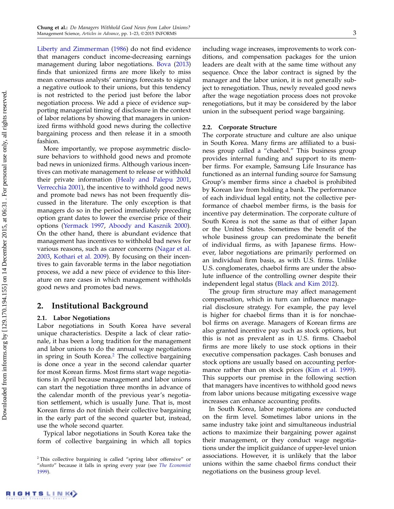[Liberty and Zimmerman](#page-23-3) [\(1986\)](#page-23-3) do not find evidence that managers conduct income-decreasing earnings management during labor negotiations. [Bova](#page-22-2) [\(2013\)](#page-22-2) finds that unionized firms are more likely to miss mean consensus analysts' earnings forecasts to signal a negative outlook to their unions, but this tendency is not restricted to the period just before the labor negotiation process. We add a piece of evidence supporting managerial timing of disclosure in the context of labor relations by showing that managers in unionized firms withhold good news during the collective bargaining process and then release it in a smooth fashion.

More importantly, we propose asymmetric disclosure behaviors to withhold good news and promote bad news in unionized firms. Although various incentives can motivate management to release or withhold their private information [\(Healy and Palepu](#page-22-9) [2001,](#page-22-9) [Verrecchia](#page-23-2) [2001\)](#page-23-2), the incentive to withhold good news and promote bad news has not been frequently discussed in the literature. The only exception is that managers do so in the period immediately preceding option grant dates to lower the exercise price of their options [\(Yermack](#page-23-4) [1997,](#page-23-4) [Aboody and Kasznik](#page-22-11) [2000\)](#page-22-11). On the other hand, there is abundant evidence that management has incentives to withhold bad news for various reasons, such as career concerns [\(Nagar et al.](#page-23-5) [2003,](#page-23-5) [Kothari et al.](#page-22-12) [2009\)](#page-22-12). By focusing on their incentives to gain favorable terms in the labor negotiation process, we add a new piece of evidence to this literature on rare cases in which management withholds good news and promotes bad news.

## 2. Institutional Background

## 2.1. Labor Negotiations

Labor negotiations in South Korea have several unique characteristics. Despite a lack of clear rationale, it has been a long tradition for the management and labor unions to do the annual wage negotiations in spring in South Korea.<sup>[2](#page-3-0)</sup> The collective bargaining is done once a year in the second calendar quarter for most Korean firms. Most firms start wage negotiations in April because management and labor unions can start the negotiation three months in advance of the calendar month of the previous year's negotiation settlement, which is usually June. That is, most Korean firms do not finish their collective bargaining in the early part of the second quarter but, instead, use the whole second quarter.

Typical labor negotiations in South Korea take the form of collective bargaining in which all topics including wage increases, improvements to work conditions, and compensation packages for the union leaders are dealt with at the same time without any sequence. Once the labor contract is signed by the manager and the labor union, it is not generally subject to renegotiation. Thus, newly revealed good news after the wage negotiation process does not provoke renegotiations, but it may be considered by the labor union in the subsequent period wage bargaining.

## 2.2. Corporate Structure

The corporate structure and culture are also unique in South Korea. Many firms are affiliated to a business group called a "chaebol." This business group provides internal funding and support to its member firms. For example, Samsung Life Insurance has functioned as an internal funding source for Samsung Group's member firms since a chaebol is prohibited by Korean law from holding a bank. The performance of each individual legal entity, not the collective performance of chaebol member firms, is the basis for incentive pay determination. The corporate culture of South Korea is not the same as that of either Japan or the United States. Sometimes the benefit of the whole business group can predominate the benefit of individual firms, as with Japanese firms. However, labor negotiations are primarily performed on an individual firm basis, as with U.S. firms. Unlike U.S. conglomerates, chaebol firms are under the absolute influence of the controlling owner despite their independent legal status [\(Black and Kim](#page-22-13) [2012\)](#page-22-13).

The group firm structure may affect management compensation, which in turn can influence managerial disclosure strategy. For example, the pay level is higher for chaebol firms than it is for nonchaebol firms on average. Managers of Korean firms are also granted incentive pay such as stock options, but this is not as prevalent as in U.S. firms. Chaebol firms are more likely to use stock options in their executive compensation packages. Cash bonuses and stock options are usually based on accounting performance rather than on stock prices [\(Kim et al.](#page-22-14) [1999\)](#page-22-14). This supports our premise in the following section that managers have incentives to withhold good news from labor unions because mitigating excessive wage increases can enhance accounting profits.

In South Korea, labor negotiations are conducted on the firm level. Sometimes labor unions in the same industry take joint and simultaneous industrial actions to maximize their bargaining power against their management, or they conduct wage negotiations under the implicit guidance of upper-level union associations. However, it is unlikely that the labor unions within the same chaebol firms conduct their negotiations on the business group level.

<span id="page-3-0"></span><sup>2</sup> This collective bargaining is called "spring labor offensive" or "shunto" because it falls in spring every year (see [The Economist](#page-23-6) [1999\)](#page-23-6).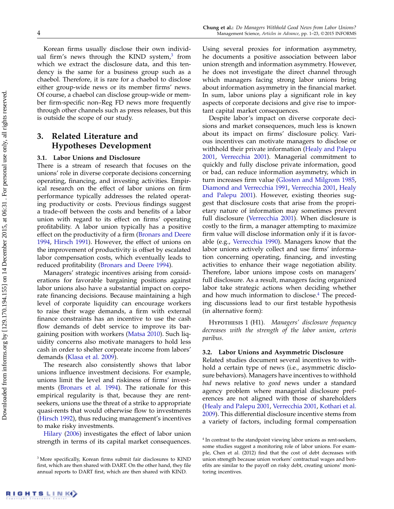Korean firms usually disclose their own individ-ual firm's news through the KIND system,<sup>[3](#page-4-0)</sup> from which we extract the disclosure data, and this tendency is the same for a business group such as a chaebol. Therefore, it is rare for a chaebol to disclose either group-wide news or its member firms' news. Of course, a chaebol can disclose group-wide or member firm-specific non–Reg FD news more frequently through other channels such as press releases, but this is outside the scope of our study.

## 3. Related Literature and Hypotheses Development

## 3.1. Labor Unions and Disclosure

There is a stream of research that focuses on the unions' role in diverse corporate decisions concerning operating, financing, and investing activities. Empirical research on the effect of labor unions on firm performance typically addresses the related operating productivity or costs. Previous findings suggest a trade-off between the costs and benefits of a labor union with regard to its effect on firms' operating profitability. A labor union typically has a positive effect on the productivity of a firm [\(Bronars and Deere](#page-22-15) [1994,](#page-22-15) [Hirsch](#page-22-16) [1991\)](#page-22-16). However, the effect of unions on the improvement of productivity is offset by escalated labor compensation costs, which eventually leads to reduced profitability [\(Bronars and Deere](#page-22-15) [1994\)](#page-22-15).

Managers' strategic incentives arising from considerations for favorable bargaining positions against labor unions also have a substantial impact on corporate financing decisions. Because maintaining a high level of corporate liquidity can encourage workers to raise their wage demands, a firm with external finance constraints has an incentive to use the cash flow demands of debt service to improve its bargaining position with workers [\(Matsa](#page-23-7) [2010\)](#page-23-7). Such liquidity concerns also motivate managers to hold less cash in order to shelter corporate income from labors' demands [\(Klasa et al.](#page-22-0) [2009\)](#page-22-0).

The research also consistently shows that labor unions influence investment decisions. For example, unions limit the level and riskiness of firms' investments [\(Bronars et al.](#page-22-17) [1994\)](#page-22-17). The rationale for this empirical regularity is that, because they are rentseekers, unions use the threat of a strike to appropriate quasi-rents that would otherwise flow to investments [\(Hirsch](#page-22-18) [1992\)](#page-22-18), thus reducing management's incentives to make risky investments.

[Hilary](#page-22-8) [\(2006\)](#page-22-8) investigates the effect of labor union strength in terms of its capital market consequences. Using several proxies for information asymmetry, he documents a positive association between labor union strength and information asymmetry. However, he does not investigate the direct channel through which managers facing strong labor unions bring about information asymmetry in the financial market. In sum, labor unions play a significant role in key aspects of corporate decisions and give rise to important capital market consequences.

Despite labor's impact on diverse corporate decisions and market consequences, much less is known about its impact on firms' disclosure policy. Various incentives can motivate managers to disclose or withhold their private information [\(Healy and Palepu](#page-22-9) [2001,](#page-22-9) [Verrecchia](#page-23-2) [2001\)](#page-23-2). Managerial commitment to quickly and fully disclose private information, good or bad, can reduce information asymmetry, which in turn increases firm value [\(Glosten and Milgrom](#page-22-19) [1985,](#page-22-19) [Diamond and Verrecchia](#page-22-20) [1991,](#page-22-20) [Verrecchia](#page-23-2) [2001,](#page-23-2) [Healy](#page-22-9) [and Palepu](#page-22-9) [2001\)](#page-22-9). However, existing theories suggest that disclosure costs that arise from the proprietary nature of information may sometimes prevent full disclosure [\(Verrecchia](#page-23-2) [2001\)](#page-23-2). When disclosure is costly to the firm, a manager attempting to maximize firm value will disclose information only if it is favorable (e.g., [Verrecchia](#page-23-8) [1990\)](#page-23-8). Managers know that the labor unions actively collect and use firms' information concerning operating, financing, and investing activities to enhance their wage negotiation ability. Therefore, labor unions impose costs on managers' full disclosure. As a result, managers facing organized labor take strategic actions when deciding whether and how much information to disclose. $4$  The preceding discussions lead to our first testable hypothesis (in alternative form):

<span id="page-4-2"></span>Hypothesis 1 (H1). Managers' disclosure frequency decreases with the strength of the labor union, ceteris paribus.

### 3.2. Labor Unions and Asymmetric Disclosure

Related studies document several incentives to withhold a certain type of news (i.e., asymmetric disclosure behaviors). Managers have incentives to withhold bad news relative to good news under a standard agency problem where managerial disclosure preferences are not aligned with those of shareholders [\(Healy and Palepu](#page-22-9) [2001,](#page-22-9) [Verrecchia](#page-23-2) [2001,](#page-23-2) [Kothari et al.](#page-22-12) [2009\)](#page-22-12). This differential disclosure incentive stems from a variety of factors, including formal compensation

<span id="page-4-0"></span><sup>&</sup>lt;sup>3</sup> More specifically, Korean firms submit fair disclosures to KIND first, which are then shared with DART. On the other hand, they file annual reports to DART first, which are then shared with KIND.

<span id="page-4-1"></span><sup>&</sup>lt;sup>4</sup> In contrast to the standpoint viewing labor unions as rent-seekers, some studies suggest a monitoring role of labor unions. For example, Chen et al. (2012) find that the cost of debt decreases with union strength because union workers' contractual wages and benefits are similar to the payoff on risky debt, creating unions' monitoring incentives.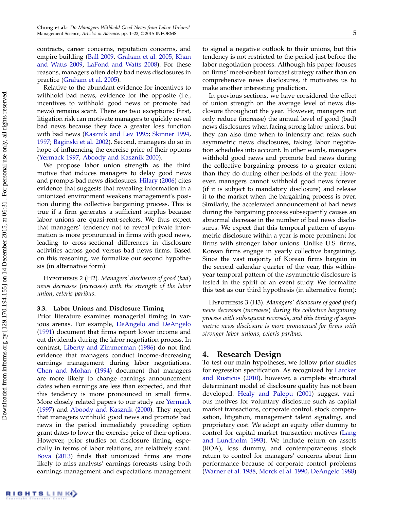contracts, career concerns, reputation concerns, and empire building [\(Ball](#page-22-21) [2009,](#page-22-21) [Graham et al.](#page-22-22) [2005,](#page-22-22) [Khan](#page-22-23) [and Watts](#page-22-23) [2009,](#page-22-23) [LaFond and Watts](#page-22-24) [2008\)](#page-22-24). For these reasons, managers often delay bad news disclosures in practice [\(Graham et al.](#page-22-22) [2005\)](#page-22-22).

Relative to the abundant evidence for incentives to withhold bad news, evidence for the opposite (i.e., incentives to withhold good news or promote bad news) remains scant. There are two exceptions: First, litigation risk can motivate managers to quickly reveal bad news because they face a greater loss function with bad news [\(Kasznik and Lev](#page-22-25) [1995;](#page-22-25) [Skinner](#page-23-9) [1994,](#page-23-9) [1997;](#page-23-10) [Baginski et al.](#page-22-26) [2002\)](#page-22-26). Second, managers do so in hope of influencing the exercise price of their options [\(Yermack](#page-23-4) [1997,](#page-23-4) [Aboody and Kasznik](#page-22-11) [2000\)](#page-22-11).

We propose labor union strength as the third motive that induces managers to delay good news and prompts bad news disclosures. [Hilary](#page-22-8) [\(2006\)](#page-22-8) cites evidence that suggests that revealing information in a unionized environment weakens management's position during the collective bargaining process. This is true if a firm generates a sufficient surplus because labor unions are quasi-rent-seekers. We thus expect that managers' tendency not to reveal private information is more pronounced in firms with good news, leading to cross-sectional differences in disclosure activities across good versus bad news firms. Based on this reasoning, we formalize our second hypothesis (in alternative form):

<span id="page-5-0"></span>HYPOTHESIS 2 (H2). Managers' disclosure of good (bad) news decreases (increases) with the strength of the labor union, ceteris paribus.

#### 3.3. Labor Unions and Disclosure Timing

Prior literature examines managerial timing in various arenas. For example, [DeAngelo and DeAngelo](#page-22-1) [\(1991\)](#page-22-1) document that firms report lower income and cut dividends during the labor negotiation process. In contrast, [Liberty and Zimmerman](#page-23-3) [\(1986\)](#page-23-3) do not find evidence that managers conduct income-decreasing earnings management during labor negotiations. [Chen and Mohan](#page-22-10) [\(1994\)](#page-22-10) document that managers are more likely to change earnings announcement dates when earnings are less than expected, and that this tendency is more pronounced in small firms. More closely related papers to our study are [Yermack](#page-23-4) [\(1997\)](#page-23-4) and [Aboody and Kasznik](#page-22-11) [\(2000\)](#page-22-11). They report that managers withhold good news and promote bad news in the period immediately preceding option grant dates to lower the exercise price of their options. However, prior studies on disclosure timing, especially in terms of labor relations, are relatively scant. [Bova](#page-22-2) [\(2013\)](#page-22-2) finds that unionized firms are more likely to miss analysts' earnings forecasts using both earnings management and expectations management to signal a negative outlook to their unions, but this tendency is not restricted to the period just before the labor negotiation process. Although his paper focuses on firms' meet-or-beat forecast strategy rather than on comprehensive news disclosures, it motivates us to make another interesting prediction.

In previous sections, we have considered the effect of union strength on the average level of news disclosure throughout the year. However, managers not only reduce (increase) the annual level of good (bad) news disclosures when facing strong labor unions, but they can also time when to intensify and relax such asymmetric news disclosures, taking labor negotiation schedules into account. In other words, managers withhold good news and promote bad news during the collective bargaining process to a greater extent than they do during other periods of the year. However, managers cannot withhold good news forever (if it is subject to mandatory disclosure) and release it to the market when the bargaining process is over. Similarly, the accelerated announcement of bad news during the bargaining process subsequently causes an abnormal decrease in the number of bad news disclosures. We expect that this temporal pattern of asymmetric disclosure within a year is more prominent for firms with stronger labor unions. Unlike U.S. firms, Korean firms engage in yearly collective bargaining. Since the vast majority of Korean firms bargain in the second calendar quarter of the year, this withinyear temporal pattern of the asymmetric disclosure is tested in the spirit of an event study. We formalize this test as our third hypothesis (in alternative form):

<span id="page-5-1"></span>HYPOTHESIS 3 (H3). Managers' disclosure of good (bad) news decreases (increases) during the collective bargaining process with subsequent reversals, and this timing of asymmetric news disclosure is more pronounced for firms with stronger labor unions, ceteris paribus.

## 4. Research Design

To test our main hypotheses, we follow prior studies for regression specification. As recognized by [Larcker](#page-22-27) [and Rusticus](#page-22-27) [\(2010\)](#page-22-27), however, a complete structural determinant model of disclosure quality has not been developed. [Healy and Palepu](#page-22-9) [\(2001\)](#page-22-9) suggest various motives for voluntary disclosure such as capital market transactions, corporate control, stock compensation, litigation, management talent signaling, and proprietary cost. We adopt an equity offer dummy to control for capital market transaction motives [\(Lang](#page-22-28) [and Lundholm](#page-22-28) [1993\)](#page-22-28). We include return on assets (ROA), loss dummy, and contemporaneous stock return to control for managers' concerns about firm performance because of corporate control problems [\(Warner et al.](#page-23-11) [1988,](#page-23-11) [Morck et al.](#page-23-12) [1990,](#page-23-12) [DeAngelo](#page-22-29) [1988\)](#page-22-29)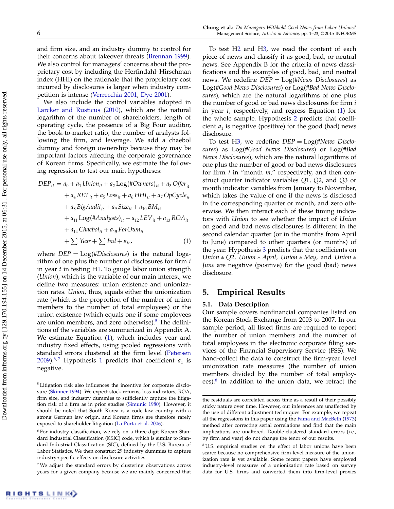and firm size, and an industry dummy to control for their concerns about takeover threats [\(Brennan](#page-22-30) [1999\)](#page-22-30). We also control for managers' concerns about the proprietary cost by including the Herfindahl–Hirschman index (HHI) on the rationale that the proprietary cost incurred by disclosures is larger when industry competition is intense [\(Verrecchia](#page-23-2) [2001,](#page-23-2) [Dye](#page-22-31) [2001\)](#page-22-31).

We also include the control variables adopted in [Larcker and Rusticus](#page-22-27) [\(2010\)](#page-22-27), which are the natural logarithm of the number of shareholders, length of operating cycle, the presence of a Big Four auditor, the book-to-market ratio, the number of analysts following the firm, and leverage. We add a chaebol dummy and foreign ownership because they may be important factors affecting the corporate governance of Korean firms. Specifically, we estimate the following regression to test our main hypotheses:

<span id="page-6-1"></span>
$$
DEP_{it} = a_0 + a_1 Union_{it} + a_2 Log(\#Owners)_{it} + a_3 Offer_{it}
$$
  
+  $a_4 RET_{it} + a_5 Loss_{it} + a_6 HHI_{it} + a_7 OpCycle_{it}$   
+  $a_8 BigAudit_{it} + a_9 Size_{it} + a_{10} BM_{it}$   
+  $a_{11 Log(\#Analysis)_{it} + a_{12} LEV_{it} + a_{13} ROA_{it}$   
+  $a_{14} Chaebol_{it} + a_{15} ForOwn_{it}$   
+  $\sum Year + \sum Ind + \varepsilon_{it}$ , (1)

where  $DEP = Log(\text{\#Disclosure})$  is the natural logarithm of one plus the number of disclosures for firm i in year t in testing [H1.](#page-4-2) To gauge labor union strength (Union), which is the variable of our main interest, we define two measures: union existence and unionization rates. Union, thus, equals either the unionization rate (which is the proportion of the number of union members to the number of total employees) or the union existence (which equals one if some employees are union members, and zero otherwise). $5$  The definitions of the variables are summarized in Appendix A. We estimate Equation [\(1\)](#page-6-1), which includes year and industry fixed effects, using pooled regressions with standard errors clustered at the firm level [\(Petersen](#page-23-13) [2009\)](#page-23-13).<sup>[6](#page-6-2),[7](#page-6-3)</sup> Hypothesis [1](#page-4-2) predicts that coefficient  $a_1$  is negative.

<span id="page-6-0"></span><sup>5</sup> Litigation risk also influences the incentive for corporate disclosure [\(Skinner](#page-23-9) [1994\)](#page-23-9). We expect stock returns, loss indicators, ROA, firm size, and industry dummies to sufficiently capture the litigation risk of a firm as in prior studies [\(Simunic](#page-23-14) [1980\)](#page-23-14). However, it should be noted that South Korea is a code law country with a strong German law origin, and Korean firms are therefore rarely exposed to shareholder litigation [\(La Porta et al.](#page-22-32) [2006\)](#page-22-32).

To test [H2](#page-5-0) and [H3,](#page-5-1) we read the content of each piece of news and classify it as good, bad, or neutral news. See Appendix B for the criteria of news classifications and the examples of good, bad, and neutral news. We redefine  $DEP = Log(\text{H}News \text{ Disclosure})$  as Log(#Good News Disclosures) or Log(#Bad News Disclosures), which are the natural logarithms of one plus the number of good or bad news disclosures for firm i in year t, respectively, and regress Equation [\(1\)](#page-6-1) for the whole sample. Hypothesis [2](#page-5-0) predicts that coefficient  $a_1$  is negative (positive) for the good (bad) news disclosure.

To test [H3,](#page-5-1) we redefine  $DEP = Log(\text{H}News~Disclo$ sures) as Log(#Good News Disclosures) or Log(#Bad News Disclosures), which are the natural logarithms of one plus the number of good or bad news disclosures for firm  $i$  in "month  $m$ ," respectively, and then construct quarter indicator variables Q1, Q2, and Q3 or month indicator variables from January to November, which takes the value of one if the news is disclosed in the corresponding quarter or month, and zero otherwise. We then interact each of these timing indicators with Union to see whether the impact of Union on good and bad news disclosures is different in the second calendar quarter (or in the months from April to June) compared to other quarters (or months) of the year. Hypothesis [3](#page-5-1) predicts that the coefficients on Union ∗ Q2, Union ∗ April, Union ∗ May, and Union ∗ June are negative (positive) for the good (bad) news disclosure.

## 5. Empirical Results

#### 5.1. Data Description

Our sample covers nonfinancial companies listed on the Korean Stock Exchange from 2003 to 2007. In our sample period, all listed firms are required to report the number of union members and the number of total employees in the electronic corporate filing services of the Financial Supervisory Service (FSS). We hand-collect the data to construct the firm-year level unionization rate measures (the number of union members divided by the number of total employ-ees).<sup>[8](#page-6-4)</sup> In addition to the union data, we retract the

<span id="page-6-2"></span><sup>6</sup> For industry classification, we rely on a three-digit Korean Standard Industrial Classification (KSIC) code, which is similar to Standard Industrial Classification (SIC), defined by the U.S. Bureau of Labor Statistics. We then construct 29 industry dummies to capture industry-specific effects on disclosure activities.

<span id="page-6-3"></span><sup>7</sup> We adjust the standard errors by clustering observations across years for a given company because we are mainly concerned that

the residuals are correlated across time as a result of their possibly sticky nature over time. However, our inferences are unaffected by the use of different adjustment techniques. For example, we repeat all the regressions in this paper using the [Fama and MacBeth](#page-22-33) [\(1973\)](#page-22-33) method after correcting serial correlations and find that the main implications are unaltered. Double-clustered standard errors (i.e., by firm and year) do not change the tenor of our results.

<span id="page-6-4"></span><sup>8</sup> U.S. empirical studies on the effect of labor unions have been scarce because no comprehensive firm-level measure of the unionization rate is yet available. Some recent papers have employed industry-level measures of a unionization rate based on survey data for U.S. firms and converted them into firm-level proxies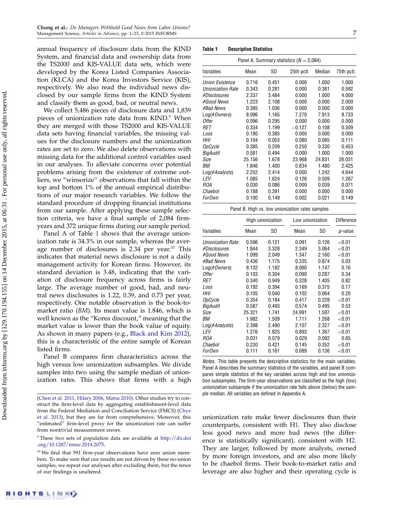annual frequency of disclosure data from the KIND System, and financial data and ownership data from the TS2000 and KIS-VALUE data sets, which were developed by the Korea Listed Companies Association (KLCA) and the Korea Investors Service (KIS), respectively. We also read the individual news disclosed by our sample firms from the KIND System and classify them as good, bad, or neutral news.

We collect 5,486 pieces of disclosure data and 1,839 pieces of unionization rate data from KIND.<sup>[9](#page-7-0)</sup> When they are merged with those TS2000 and KIS-VALUE data sets having financial variables, the missing values for the disclosure numbers and the unionization rates are set to zero. We also delete observations with missing data for the additional control variables used in our analyses. To alleviate concerns over potential problems arising from the existence of extreme outliers, we "winsorize'' observations that fall within the top and bottom 1% of the annual empirical distributions of our major research variables. We follow the standard procedure of dropping financial institutions from our sample. After applying these sample selection criteria, we have a final sample of 2,084 firmyears and 372 unique firms during our sample period.

Panel A of Table [1](#page-7-1) shows that the average unionization rate is 34.3% in our sample, whereas the average number of disclosures is  $2.34$  per year.<sup>[10](#page-7-2)</sup> This indicates that material news disclosure is not a daily management activity for Korean firms. However, its standard deviation is 3.48, indicating that the variation of disclosure frequency across firms is fairly large. The average number of good, bad, and neutral news disclosures is 1.22, 0.39, and 0.73 per year, respectively. One notable observation is the book-tomarket ratio (BM). Its mean value is 1.846, which is well known as the "Korea discount," meaning that the market value is lower than the book value of equity. As shown in many papers (e.g., [Black and Kim](#page-22-13) [2012\)](#page-22-13), this is a characteristic of the entire sample of Korean listed firms.

Panel B compares firm characteristics across the high versus low unionization subsamples. We divide samples into two using the sample median of unionization rates. This shows that firms with a high

<span id="page-7-1"></span>

| Table 1 | <b>Descriptive Statistics</b> |  |
|---------|-------------------------------|--|
|---------|-------------------------------|--|

| Panel A. Summary statistics ( $N = 2,084$ ) |        |       |            |        |            |
|---------------------------------------------|--------|-------|------------|--------|------------|
| Variables                                   | Mean   | SD    | 25th pctl. | Median | 75th pctl. |
| <b>Union Existence</b>                      | 0.716  | 0.451 | 0.000      | 1.000  | 1.000      |
| <b>Unionization Rate</b>                    | 0.343  | 0.281 | 0.000      | 0.381  | 0.592      |
| #Disclosures                                | 2.337  | 3.484 | 0.000      | 1.000  | 4.000      |
| #Good News                                  | 1.223  | 2.108 | 0.000      | 0.000  | 2.000      |
| #Bad News                                   | 0.385  | 1.036 | 0.000      | 0.000  | 0.000      |
| Log(#Owners)                                | 8.096  | 1.165 | 7.270      | 7.913  | 8.733      |
| Offer                                       | 0.096  | 0.295 | 0.000      | 0.000  | 0.000      |
| RET                                         | 0.334  | 1.199 | $-0.127$   | 0.108  | 0.509      |
| Loss                                        | 0.180  | 0.385 | 0.000      | 0.000  | 0.000      |
| HНI                                         | 0.104  | 0.053 | 0.080      | 0.085  | 0.111      |
| OpCycle                                     | 0.385  | 0.209 | 0.250      | 0.330  | 0.453      |
| BigAudit                                    | 0.581  | 0.494 | 0.000      | 1.000  | 1.000      |
| Size                                        | 25.156 | 1.678 | 23.968     | 24.831 | 26.031     |
| BМ                                          | 1.846  | 1.400 | 0.834      | 1.480  | 2.425      |
| $Log(\#Analysis)$                           | 2.252  | 2.414 | 0.000      | 1.242  | 4.644      |
| LEV                                         | 1.085  | 1.624 | 0.126      | 0.509  | 1.267      |
| ROA                                         | 0.030  | 0.086 | 0.009      | 0.039  | 0.071      |
| Chaebol                                     | 0.188  | 0.391 | 0.000      | 0.000  | 0.000      |
| ForOwn                                      | 0.100  | 0.149 | 0.002      | 0.021  | 0.149      |

|  | Panel B. High vs. low unionization rates samples |  |
|--|--------------------------------------------------|--|
|--|--------------------------------------------------|--|

|                          |        | High unionization |        | Low unionization |           |
|--------------------------|--------|-------------------|--------|------------------|-----------|
| Variables                | Mean   | SD                | Mean   | SD               | p-value   |
| <b>Unionization Rate</b> | 0.596  | 0.121             | 0.091  | 0.126            | ${<}0.01$ |
| #Disclosures             | 1.844  | 3.328             | 2.349  | 3.064            | ${<}0.01$ |
| #Good News               | 1.099  | 2.049             | 1.347  | 2.160            | ${<}0.01$ |
| #Bad News                | 0.436  | 1.175             | 0.335  | 0.874            | 0.03      |
| $Log(\#Owners)$          | 8.132  | 1.182             | 8.060  | 1.147            | 0.16      |
| Offer                    | 0.103  | 0.304             | 0.090  | 0.287            | 0.34      |
| RET                      | 0.340  | 0.949             | 0.328  | 1.405            | 0.82      |
| Loss                     | 0.192  | 0.394             | 0.169  | 0.375            | 0.17      |
| HHI                      | 0.105  | 0.040             | 0.102  | 0.064            | 0.20      |
| <b>OpCycle</b>           | 0.354  | 0.184             | 0.417  | 0.228            | ${<}0.01$ |
| BigAudit                 | 0.587  | 0.493             | 0.574  | 0.495            | 0.53      |
| Size                     | 25.321 | 1.741             | 24.991 | 1.597            | ${<}0.01$ |
| BМ                       | 1.982  | 1.509             | 1.711  | 1.268            | ${<}0.01$ |
| $Log(\#Analysis)$        | 2.398  | 2.490             | 2.107  | 2.327            | ${<}0.01$ |
| LEV                      | 1.276  | 1.825             | 0.893  | 1.367            | ${<}0.01$ |
| ROA                      | 0.031  | 0.079             | 0.029  | 0.092            | 0.65      |
| Chaebol                  | 0.230  | 0.421             | 0.145  | 0.352            | ${<}0.01$ |
| ForOwn                   | 0.111  | 0.161             | 0.089  | 0.136            | ${<}0.01$ |

Notes. This table presents the descriptive statistics for the main variables. Panel A describes the summary statistics of the variables, and panel B compares simple statistics of the key variables across high and low unionization subsamples. The firm-year observations are classified as the high (low) unionization subsample if the unionization rate falls above (below) the sample median. All variables are defined in Appendix A.

unionization rate make fewer disclosures than their counterparts, consistent with [H1.](#page-4-2) They also disclose less good news and more bad news (the difference is statistically significant), consistent with [H2.](#page-5-0) They are larger, followed by more analysts, owned by more foreign investors, and are also more likely to be chaebol firms. Their book-to-market ratio and leverage are also higher and their operating cycle is

[<sup>\(</sup>Chen et al.](#page-22-34) [2011,](#page-22-34) [Hilary](#page-22-8) [2006,](#page-22-8) [Matsa](#page-23-7) [2010\)](#page-23-7). Other studies try to construct the firm-level data by aggregating establishment-level data from the Federal Mediation and Conciliation Service (FMCS) [\(Chyz](#page-22-35) [et al.](#page-22-35) [2013\)](#page-22-35), but they are far from comprehensive. Moreover, this "estimated" firm-level proxy for the unionization rate can suffer from nontrivial measurement errors.

<span id="page-7-0"></span><sup>9</sup> These two sets of population data are available at [http://dx.doi](http://dx.doi.org/10.1287/mnsc.2014.2075) [.org/10.1287/mnsc.2014.2075.](http://dx.doi.org/10.1287/mnsc.2014.2075)

<span id="page-7-2"></span><sup>&</sup>lt;sup>10</sup> We find that 591 firm-year observations have zero union members. To make sure that our results are not driven by these no-union samples, we repeat our analyses after excluding them, but the tenor of our findings is unaltered.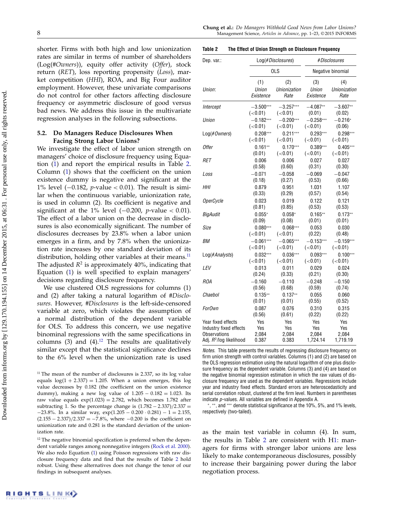shorter. Firms with both high and low unionization rates are similar in terms of number of shareholders  $(Log(HOwners))$ , equity offer activity  $(Offer)$ , stock return (RET), loss reporting propensity (Loss), market competition (HHI), ROA, and Big Four auditor employment. However, these univariate comparisons do not control for other factors affecting disclosure frequency or asymmetric disclosure of good versus bad news. We address this issue in the multivariate regression analyses in the following subsections.

## 5.2. Do Managers Reduce Disclosures When Facing Strong Labor Unions?

We investigate the effect of labor union strength on managers' choice of disclosure frequency using Equation [\(1\)](#page-6-1) and report the empirical results in Table [2.](#page-8-0) Column [\(1\)](#page-6-1) shows that the coefficient on the union existence dummy is negative and significant at the 1% level ( $-0.182$ , *p*-value < 0.01). The result is similar when the continuous variable, unionization rate, is used in column (2). Its coefficient is negative and significant at the 1% level  $(-0.200, p-value < 0.01)$ . The effect of a labor union on the decrease in disclosures is also economically significant. The number of disclosures decreases by 23.8% when a labor union emerges in a firm, and by 7.8% when the unionization rate increases by one standard deviation of its distribution, holding other variables at their means. $<sup>11</sup>$  $<sup>11</sup>$  $<sup>11</sup>$ </sup> The adjusted  $R^2$  is approximately 40%, indicating that Equation [\(1\)](#page-6-1) is well specified to explain managers' decisions regarding disclosure frequency.

We use clustered OLS regressions for columns (1) and (2) after taking a natural logarithm of #Disclosures. However, #Disclosures is the left-side-censored variable at zero, which violates the assumption of a normal distribution of the dependent variable for OLS. To address this concern, we use negative binominal regressions with the same specifications in columns (3) and (4).<sup>[12](#page-8-2)</sup> The results are qualitatively similar except that the statistical significance declines to the 6% level when the unionization rate is used

<span id="page-8-0"></span>Table 2 The Effect of Union Strength on Disclosure Frequency

| Dep. var.:                          | Log(#Disclosures) |              |             | #Disclosures      |
|-------------------------------------|-------------------|--------------|-------------|-------------------|
|                                     |                   | OLS          |             | Negative binomial |
| Union:                              | (1)               | (2)          | (3)         | (4)               |
|                                     | Union             | Unionization | Union       | Unionization      |
|                                     | Existence         | Rate         | Existence   | Rate              |
| Intercept                           | $-3.500***$       | $-3.257***$  | $-4.087**$  | $-3.607**$        |
|                                     | (<0.01)           | (<0.01)      | (0.01)      | (0.02)            |
| Union                               | $-0.182***$       | $-0.200***$  | $-0.258***$ | $-0.216*$         |
|                                     | (<0.01)           | (<0.01)      | (<0.01)     | (0.06)            |
| $Log(\#Owners)$                     | $0.208***$        | $0.211***$   | $0.293***$  | $0.298***$        |
|                                     | (<0.01)           | (<0.01)      | (<0.01)     | (<0.01)           |
| <b>Offer</b>                        | $0.161**$         | $0.170***$   | $0.389***$  | $0.405***$        |
|                                     | (0.01)            | (<0.01)      | (< 0.01)    | (<0.01)           |
| RET                                 | 0.006             | 0.006        | 0.027       | 0.027             |
|                                     | (0.58)            | (0.60)       | (0.31)      | (0.30)            |
| Loss                                | $-0.071$          | $-0.058$     | $-0.069$    | $-0.047$          |
|                                     | (0.18)            | (0.27)       | (0.53)      | (0.66)            |
| HHI                                 | 0.879             | 0.951        | 1.031       | 1.107             |
|                                     | (0.33)            | (0.29)       | (0.57)      | (0.54)            |
| <b>OperCycle</b>                    | 0.023             | 0.019        | 0.122       | 0.121             |
|                                     | (0.81)            | (0.85)       | (0.53)      | (0.53)            |
| <b>BigAudit</b>                     | $0.055*$          | $0.058*$     | $0.165**$   | $0.173**$         |
|                                     | (0.09)            | (0.08)       | (0.01)      | (0.01)            |
| Size                                | $0.080***$        | $0.068***$   | 0.053       | 0.030             |
|                                     | (< 0.01)          | (< 0.01)     | (0.22)      | (0.48)            |
| BМ                                  | $-0.061***$       | $-0.065***$  | $-0.153***$ | $-0.159***$       |
|                                     | (<0.01)           | (<0.01)      | (<0.01)     | (<0.01)           |
| $Log(\#Analysis)$                   | $0.032***$        | $0.036***$   | $0.093***$  | $0.100***$        |
|                                     | (<0.01)           | (<0.01)      | (<0.01)     | (<0.01)           |
| LEV                                 | 0.013             | 0.011        | 0.029       | 0.024             |
|                                     | (0.24)            | (0.33)       | (0.21)      | (0.30)            |
| <b>ROA</b>                          | $-0.160$          | $-0.110$     | $-0.248$    | $-0.150$          |
|                                     | (0.56)            | (0.68)       | (0.59)      | (0.74)            |
| Chaebol                             | $0.135**$         | $0.137**$    | 0.055       | 0.060             |
|                                     | (0.01)            | (0.01)       | (0.55)      | (0.52)            |
| ForOwn                              | 0.087             | 0.076        | 0.310       | 0.315             |
|                                     | (0.56)            | (0.61)       | (0.22)      | (0.22)            |
| Year fixed effects                  | Yes               | Yes          | Yes         | Yes               |
| Industry fixed effects              | Yes               | Yes          | Yes         | Yes               |
| <b>Observations</b>                 | 2,084             | 2,084        | 2,084       | 2,084             |
| Adj. R <sup>2</sup> /log likelihood | 0.387             | 0.383        | 1,724.14    | 1,719.19          |

Notes. This table presents the results of regressing disclosure frequency on firm union strength with control variables. Columns (1) and (2) are based on the OLS regression estimation using the natural logarithm of one plus disclosure frequency as the dependent variable. Columns (3) and (4) are based on the negative binomial regression estimation in which the raw values of disclosure frequency are used as the dependent variables. Regressions include year and industry fixed effects. Standard errors are heteroscedasticity and serial correlation robust, clustered at the firm level. Numbers in parentheses indicate p-values. All variables are defined in Appendix A.

∗ , ∗∗, and ∗∗∗ denote statistical significance at the 10%, 5%, and 1% levels, respectively (two-tailed).

as the main test variable in column (4). In sum, the results in Table [2](#page-8-0) are consistent with [H1:](#page-4-2) managers for firms with stronger labor unions are less likely to make contemporaneous disclosures, possibly to increase their bargaining power during the labor negotiation process.

<span id="page-8-1"></span> $11$  The mean of the number of disclosures is 2.337, so its log value equals  $log(1 + 2.337) = 1.205$ . When a union emerges, this log value decreases by 0.182 (the coefficient on the union existence dummy), making a new log value of  $1.205 - 0.182 = 1.023$ . Its raw value equals  $exp(1.023) = 2.782$ , which becomes 1.782 after subtracting 1. So the percentage change is  $(1.782 - 2.337)/2.337 =$  $-23.8\%$ . In a similar way,  $\exp(1.205 - 0.200 \cdot 0.281) - 1 = 2.155$ ,  $(2.155 - 2.337)/2.337 = -7.8\%$ , where  $-0.200$  is the coefficient on unionization rate and 0.281 is the standard deviation of the unionization rate.

<span id="page-8-2"></span><sup>&</sup>lt;sup>12</sup> The negative binomial specification is preferred when the dependent variable ranges among nonnegative integers [\(Rock et al.](#page-23-15) [2000\)](#page-23-15). We also redo Equation [\(1\)](#page-6-1) using Poisson regressions with raw disclosure frequency data and find that the results of Table [2](#page-8-0) hold robust. Using these alternatives does not change the tenor of our findings in subsequent analyses.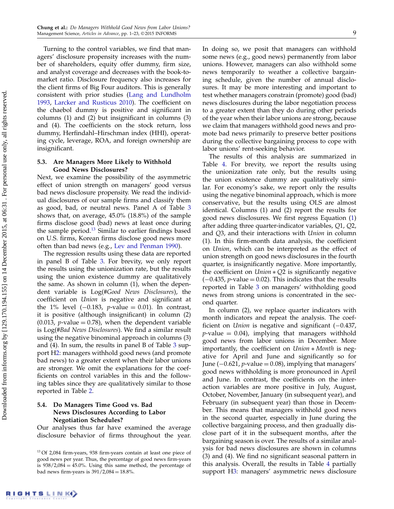Turning to the control variables, we find that managers' disclosure propensity increases with the number of shareholders, equity offer dummy, firm size, and analyst coverage and decreases with the book-tomarket ratio. Disclosure frequency also increases for the client firms of Big Four auditors. This is generally consistent with prior studies [\(Lang and Lundholm](#page-22-28) [1993,](#page-22-28) [Larcker and Rusticus](#page-22-27) [2010\)](#page-22-27). The coefficient on the chaebol dummy is positive and significant in columns (1) and (2) but insignificant in columns (3) and (4). The coefficients on the stock return, loss dummy, Herfindahl–Hirschman index (HHI), operating cycle, leverage, ROA, and foreign ownership are insignificant.

### 5.3. Are Managers More Likely to Withhold Good News Disclosures?

Next, we examine the possibility of the asymmetric effect of union strength on managers' good versus bad news disclosure propensity. We read the individual disclosures of our sample firms and classify them as good, bad, or neutral news. Panel A of Table [3](#page-10-0) shows that, on average, 45.0% (18.8%) of the sample firms disclose good (bad) news at least once during the sample period. $13$  Similar to earlier findings based on U.S. firms, Korean firms disclose good news more often than bad news (e.g., [Lev and Penman](#page-22-36) [1990\)](#page-22-36).

The regression results using these data are reported in panel B of Table [3.](#page-10-0) For brevity, we only report the results using the unionization rate, but the results using the union existence dummy are qualitatively the same. As shown in column (1), when the dependent variable is Log(#Good News Disclosures), the coefficient on Union is negative and significant at the 1% level (-0.183, *p*-value = 0.01). In contrast, it is positive (although insignificant) in column (2)  $(0.013, p-value = 0.78)$ , when the dependent variable is Log(#Bad News Disclosures). We find a similar result using the negative binominal approach in columns (3) and  $(4)$ . In sum, the results in panel B of Table [3](#page-10-0) support [H2:](#page-5-0) managers withhold good news (and promote bad news) to a greater extent when their labor unions are stronger. We omit the explanations for the coefficients on control variables in this and the following tables since they are qualitatively similar to those reported in Table [2.](#page-8-0)

## 5.4. Do Managers Time Good vs. Bad News Disclosures According to Labor Negotiation Schedules?

Our analyses thus far have examined the average disclosure behavior of firms throughout the year. In doing so, we posit that managers can withhold some news (e.g., good news) permanently from labor unions. However, managers can also withhold some news temporarily to weather a collective bargaining schedule, given the number of annual disclosures. It may be more interesting and important to test whether managers constrain (promote) good (bad) news disclosures during the labor negotiation process to a greater extent than they do during other periods of the year when their labor unions are strong, because we claim that managers withhold good news and promote bad news primarily to preserve better positions during the collective bargaining process to cope with labor unions' rent-seeking behavior.

The results of this analysis are summarized in Table [4.](#page-11-0) For brevity, we report the results using the unionization rate only, but the results using the union existence dummy are qualitatively similar. For economy's sake, we report only the results using the negative binominal approach, which is more conservative, but the results using OLS are almost identical. Columns (1) and (2) report the results for good news disclosures. We first regress Equation [\(1\)](#page-6-1) after adding three quarter-indicator variables, Q1, Q2, and Q3, and their interactions with *Union* in column (1). In this firm-month data analysis, the coefficient on Union, which can be interpreted as the effect of union strength on good news disclosures in the fourth quarter, is insignificantly negative. More importantly, the coefficient on Union ∗ Q2 is significantly negative  $(-0.435, p-value = 0.02)$ . This indicates that the results reported in Table [3](#page-10-0) on managers' withholding good news from strong unions is concentrated in the second quarter.

In column (2), we replace quarter indicators with month indicators and repeat the analysis. The coefficient on *Union* is negative and significant (−0.437,  $p$ -value = 0.04), implying that managers withhold good news from labor unions in December. More importantly, the coefficient on Union ∗ Month is negative for April and June and significantly so for June ( $-0.621$ , *p*-value = 0.08), implying that managers' good news withholding is more pronounced in April and June. In contrast, the coefficients on the interaction variables are more positive in July, August, October, November, January (in subsequent year), and February (in subsequent year) than those in December. This means that managers withhold good news in the second quarter, especially in June during the collective bargaining process, and then gradually disclose part of it in the subsequent months, after the bargaining season is over. The results of a similar analysis for bad news disclosures are shown in columns (3) and (4). We find no significant seasonal pattern in this analysis. Overall, the results in Table [4](#page-11-0) partially support [H3:](#page-5-1) managers' asymmetric news disclosure

<span id="page-9-0"></span><sup>&</sup>lt;sup>13</sup> Of 2,084 firm-years, 938 firm-years contain at least one piece of good news per year. Thus, the percentage of good news firm-years is  $938/2,084 = 45.0\%$ . Using this same method, the percentage of bad news firm-years is  $391/2,084 = 18.8\%$ .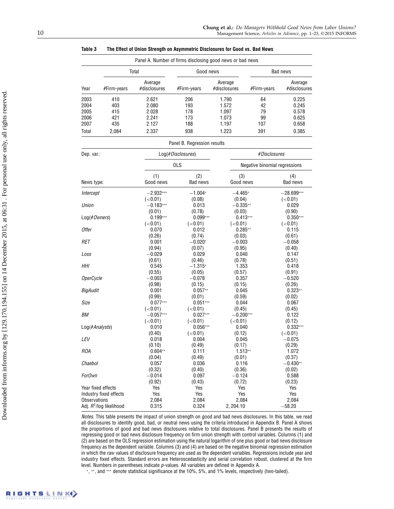|                         |                            |                         | Panel A. Number of firms disclosing good news or bad news |                         |                               |                         |
|-------------------------|----------------------------|-------------------------|-----------------------------------------------------------|-------------------------|-------------------------------|-------------------------|
|                         | Total                      |                         | Good news                                                 |                         | Bad news                      |                         |
| Year                    | #Firm-years                | Average<br>#disclosures | #Firm-years                                               | Average<br>#disclosures | #Firm-years                   | Average<br>#disclosures |
| 2003                    | 410                        | 2.621                   | 206                                                       | 1.790                   | 64                            | 0.225                   |
| 2004                    | 403                        | 2.080                   | 193                                                       | 1.572                   | 42                            | 0.245                   |
| 2005                    | 415                        | 2.028                   | 178                                                       | 1.097                   | 79                            | 0.578                   |
| 2006                    | 421                        | 2.241                   | 173                                                       | 1.073                   | 99                            | 0.625                   |
| 2007                    | 435                        | 2.127                   | 188                                                       | 1.197                   | 107                           | 0.658                   |
| Total                   | 2,084                      | 2.337                   | 938                                                       | 1.223                   | 391                           | 0.385                   |
|                         |                            |                         | Panel B. Regression results                               |                         |                               |                         |
| Dep. var.:              |                            |                         | Log(#Disclosures)                                         |                         | #Disclosures                  |                         |
|                         |                            |                         | <b>OLS</b>                                                |                         | Negative binomial regressions |                         |
|                         |                            | (1)                     | (2)                                                       | (3)                     |                               | (4)                     |
| News type:              |                            | Good news               | Bad news                                                  | Good news               |                               | Bad news                |
| Intercept               |                            | $-2.932***$             | $-1.004*$                                                 | $-4.465*$               |                               | $-28.699***$            |
|                         |                            | (<0.01)                 | (0.08)                                                    | (0.04)                  |                               | (<0.01)                 |
| Union                   |                            | $-0.183***$             | 0.013                                                     | $-0.335**$              |                               | 0.029                   |
|                         |                            | (0.01)                  | (0.78)                                                    | (0.03)                  |                               | (0.90)                  |
| $Log(\#Owners)$         |                            | $0.199***$              | $0.099***$                                                |                         | $0.413***$                    | $0.350***$              |
|                         |                            | (<0.01)                 | (<0.01)                                                   | (<0.01)                 |                               | (<0.01)                 |
| <b>Offer</b>            |                            | 0.070                   | 0.012                                                     | $0.285**$               |                               | 0.115                   |
|                         |                            | (0.26)                  | (0.74)                                                    | (0.03)                  |                               | (0.61)                  |
| RET                     |                            | 0.001                   | $-0.020*$                                                 | $-0.003$                |                               | $-0.058$                |
|                         |                            | (0.94)                  | (0.07)                                                    | (0.95)                  |                               | (0.40)                  |
| Loss                    |                            | $-0.029$                | 0.029                                                     | 0.040                   |                               | 0.147                   |
|                         |                            | (0.61)                  | (0.46)                                                    | (0.78)                  |                               | (0.51)                  |
| HHI                     |                            | 0.545                   | $-1.315*$                                                 | 1.353                   |                               | 0.418                   |
|                         |                            | (0.55)                  | (0.05)                                                    | (0.57)                  |                               | (0.91)                  |
| <i><b>OperCycle</b></i> |                            | $-0.003$                | $-0.078$                                                  | 0.357                   |                               | $-0.520$                |
|                         |                            | (0.98)                  | (0.15)                                                    | (0.15)                  |                               | (0.26)                  |
| BigAudit                |                            | 0.001                   | $0.057**$                                                 | 0.045                   |                               | $0.323**$               |
|                         |                            | (0.99)                  | (0.01)                                                    | (0.59)                  |                               | (0.02)                  |
| Size                    |                            | $0.077***$              | $0.051***$                                                | 0.044                   |                               | 0.067                   |
|                         |                            | (<0.01)                 | (<0.01)                                                   | (0.45)                  |                               | (0.45)                  |
| BМ                      |                            | $-0.057***$             | $0.027***$                                                | $-0.200***$             |                               | 0.122                   |
|                         |                            | (<0.01)                 | (<0.01)                                                   | (<0.01)                 |                               | (0.12)                  |
|                         | Log(#Analysts)             | 0.010                   | $0.056***$                                                | 0.040                   |                               | $0.332***$              |
|                         |                            | (0.40)                  | (<0.01)                                                   | (0.12)                  |                               | (<0.01)                 |
| LEV                     |                            | 0.018                   | 0.004                                                     | 0.045                   |                               | $-0.075$                |
|                         |                            | (0.10)                  | (0.49)                                                    | (0.17)                  |                               | (0.29)                  |
| <b>ROA</b>              |                            | $0.604**$               | 0.111                                                     | $1.513**$               |                               | 1.072                   |
|                         |                            | (0.04)                  | (0.49)                                                    | (0.01)                  |                               | (0.37)                  |
| Chaebol                 |                            | 0.057                   | 0.036                                                     | 0.116                   |                               | $-0.430**$              |
|                         |                            | (0.32)                  | (0.40)                                                    | (0.36)                  |                               | (0.02)                  |
| <b>ForOwn</b>           |                            | $-0.014$                | 0.097                                                     | $-0.124$                |                               | 0.588                   |
|                         |                            | (0.92)                  | (0.43)                                                    | (0.72)                  |                               | (0.23)                  |
|                         | Year fixed effects         | Yes                     | Yes                                                       | Yes                     |                               | Yes                     |
|                         | Industry fixed effects     | Yes                     | Yes                                                       | Yes                     |                               | Yes                     |
| <b>Observations</b>     |                            | 2,084                   | 2,084                                                     | 2,084                   |                               | 2,084                   |
|                         | Adj. $R^2$ /log likelihood | 0.315                   | 0.324                                                     | 2, 204.10               |                               | $-58.20$                |

<span id="page-10-0"></span>Table 3 The Effect of Union Strength on Asymmetric Disclosures for Good vs. Bad News

Notes. This table presents the impact of union strength on good and bad news disclosures. In this table, we read all disclosures to identify good, bad, or neutral news using the criteria introduced in Appendix B. Panel A shows the proportions of good and bad news disclosures relative to total disclosures. Panel B presents the results of regressing good or bad news disclosure frequency on firm union strength with control variables. Columns (1) and (2) are based on the OLS regression estimation using the natural logarithm of one plus good or bad news disclosure frequency as the dependent variable. Columns (3) and (4) are based on the negative binomial regression estimation in which the raw values of disclosure frequency are used as the dependent variables. Regressions include year and industry fixed effects. Standard errors are Heteroscedasticity and serial correlation robust, clustered at the firm level. Numbers in parentheses indicate p-values. All variables are defined in Appendix A.

∗ , ∗∗, and ∗∗∗ denote statistical significance at the 10%, 5%, and 1% levels, respectively (two-tailed).

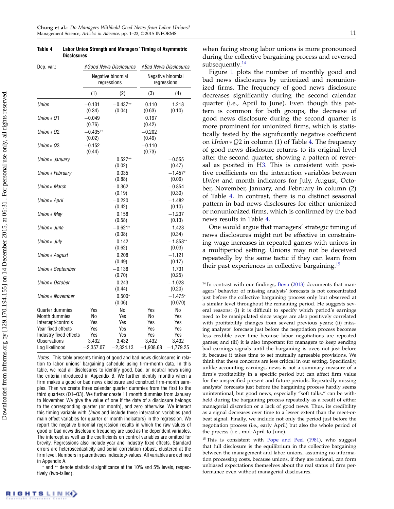**Disclosures** Dep. var.: #Good News Disclosures #Bad News Disclosures Negative binomial Negative binomial regressions regressions  $(1)$   $(2)$   $(3)$   $(4)$ Union  $-0.131 -0.437** 0.110 1.218$  $(0.34)$   $(0.04)$   $(0.63)$   $(0.10)$  $Union * Q1$  −0.049 0.197  $(0.76)$   $(0.42)$  $Union * Q2$  −0.435<sup>\*\*</sup> −0.202<br>(0.02) (0.49)  $(0.49)$  $Union * Q3$   $-0.152$   $-0.110$  $(0.44)$   $(0.73)$ Union  $\ast$  January  $0.527**$  -0.555  $(0.02)$   $(0.47)$ Union  $\ast$  February 0.035 −1.457<sup>\*</sup>  $(0.88)$   $(0.06)$  $Union * March$  −0.362 −0.854  $(0.19)$   $(0.30)$  $Union * April$  −0.220 −1.482  $(0.42)$   $(0.10)$  $Union * Mav$  0.158 −1.237  $(0.58)$   $(0.13)$  $Union * June$   $-0.621*$  1.428  $(0.08)$   $(0.34)$  $Union * July$  0.142 −1.858<sup>∗</sup><sup>1</sup> (0.03)  $(0.03)$  $Union * August$  0.208 −1.121<br>(0.49) (0.17)  $(0.17)$ Union ∗ September −0.138 1.731<br>(0.70) (0.25)  $(0.25)$  $Union * October$  0.243  $-1.023$  $(0.44)$   $(0.20)$ Union ∗ November  $0.500^*$   $-1.475^*$  $(0.06)$   $(0.070)$ Quarter dummies Yes No Yes No Month dummies No Yes No Yes Intercept/controls Yes Yes Yes Yes Year fixed effects Yes Yes Yes Yes Yes Industry fixed effects Yes Yes Yes Yes Observations 3,432 3,432 3,432 3,432 Log likelihood −2,357.07 −2,324.13 −1,908.68 −1,779.25

<span id="page-11-0"></span>Table 4 Labor Union Strength and Managers' Timing of Asymmetric

Notes. This table presents timing of good and bad news disclosures in relation to labor unions' bargaining schedule using firm-month data. In this table, we read all disclosures to identify good, bad, or neutral news using the criteria introduced in Appendix B. We further identify months when a firm makes a good or bad news disclosure and construct firm-month samples. Then we create three calendar quarter dummies from the first to the third quarters (Q1–Q3). We further create 11 month dummies from January to November. We give the value of one if the date of a disclosure belongs to the corresponding quarter (or month), and zero otherwise. We interact this timing variable with *Union* and include these interaction variables (and main effect variables for quarter or month indicators) in the regression. We report the negative binomial regression results in which the raw values of good or bad news disclosure frequency are used as the dependent variables. The intercept as well as the coefficients on control variables are omitted for brevity. Regressions also include year and industry fixed effects. Standard errors are heteroscedasticity and serial correlation robust, clustered at the firm level. Numbers in parentheses indicate  $p$ -values. All variables are defined in Appendix A.

∗ and ∗∗ denote statistical significance at the 10% and 5% levels, respectively (two-tailed).

when facing strong labor unions is more pronounced during the collective bargaining process and reversed subsequently.<sup>[14](#page-11-1)</sup>

Figure [1](#page-12-0) plots the number of monthly good and bad news disclosures by unionized and nonunionized firms. The frequency of good news disclosure decreases significantly during the second calendar quarter (i.e., April to June). Even though this pattern is common for both groups, the decrease of good news disclosure during the second quarter is more prominent for unionized firms, which is statistically tested by the significantly negative coefficient on Union∗Q2 in column (1) of Table [4.](#page-11-0) The frequency of good news disclosure returns to its original level after the second quarter, showing a pattern of reversal as posited in [H3.](#page-5-1) This is consistent with positive coefficients on the interaction variables between Union and month indicators for July, August, October, November, January, and February in column (2) of Table [4.](#page-11-0) In contrast, there is no distinct seasonal pattern in bad news disclosures for either unionized or nonunionized firms, which is confirmed by the bad news results in Table [4.](#page-11-0)

One would argue that managers' strategic timing of news disclosures might not be effective in constraining wage increases in repeated games with unions in a multiperiod setting. Unions may not be deceived repeatedly by the same tactic if they can learn from their past experiences in collective bargaining.<sup>[15](#page-11-2)</sup>

<span id="page-11-1"></span> $14$  In contrast with our findings, [Bova](#page-22-2) [\(2013\)](#page-22-2) documents that managers' behavior of missing analysts' forecasts is not concentrated just before the collective bargaining process only but observed at a similar level throughout the remaining period. He suggests several reasons: (i) it is difficult to specify which period's earnings need to be manipulated since wages are also positively correlated with profitability changes from several previous years; (ii) missing analysts' forecasts just before the negotiation process becomes less credible over time because labor negotiations are repeated games; and (iii) it is also important for managers to keep sending bad earnings signals until the bargaining is over, not just before it, because it takes time to set mutually agreeable provisions. We think that these concerns are less critical in our setting. Specifically, unlike accounting earnings, news is not a summary measure of a firm's profitability in a specific period but can affect firm value for the unspecified present and future periods. Repeatedly missing analysts' forecasts just before the bargaining process hardly seems unintentional, but good news, especially "soft talks," can be withheld during the bargaining process repeatedly as a result of either managerial discretion or a lack of good news. Thus, its credibility as a signal decreases over time to a lesser extent than the meet-orbeat signal. Finally, we include not only the period just before the negotiation process (i.e., early April) but also the whole period of the process (i.e., mid-April to June).

<span id="page-11-2"></span><sup>15</sup> This is consistent with [Pope and Peel](#page-23-16) [\(1981\)](#page-23-16), who suggest that full disclosure is the equilibrium in the collective bargaining between the management and labor unions, assuming no information processing costs, because unions, if they are rational, can form unbiased expectations themselves about the real status of firm performance even without managerial disclosures.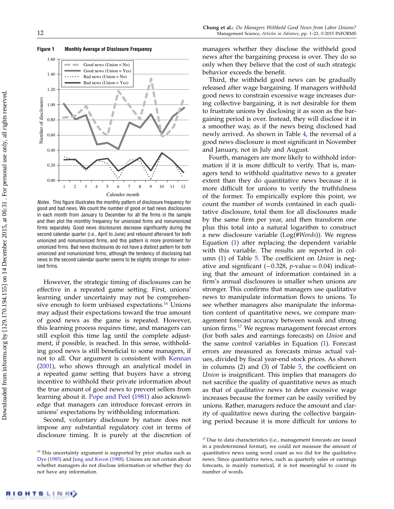

<span id="page-12-0"></span>Figure 1 Monthly Average of Disclosure Frequency

Notes. This figure illustrates the monthly pattern of disclosure frequency for good and bad news. We count the number of good or bad news disclosures in each month from January to December for all the firms in the sample and then plot the monthly frequency for unionized firms and nonunionized firms separately. Good news disclosures decrease significantly during the second calendar quarter (i.e., April to June) and rebound afterward for both unionized and nonunionized firms, and this pattern is more prominent for unionized firms. Bad news disclosures do not have a distinct pattern for both unionized and nonunionized firms, although the tendency of disclosing bad news in the second calendar quarter seems to be slightly stronger for unionized firms.

However, the strategic timing of disclosures can be effective in a repeated game setting. First, unions' learning under uncertainty may not be comprehen-sive enough to form unbiased expectations.<sup>[16](#page-12-1)</sup> Unions may adjust their expectations toward the true amount of good news as the game is repeated. However, this learning process requires time, and managers can still exploit this time lag until the complete adjustment, if possible, is reached. In this sense, withholding good news is still beneficial to some managers, if not to all. Our argument is consistent with [Kennan](#page-22-37) [\(2001\)](#page-22-37), who shows through an analytical model in a repeated game setting that buyers have a strong incentive to withhold their private information about the true amount of good news to prevent sellers from learning about it. [Pope and Peel](#page-23-16) [\(1981\)](#page-23-16) also acknowledge that managers can introduce forecast errors in unions' expectations by withholding information.

Second, voluntary disclosure by nature does not impose any substantial regulatory cost in terms of disclosure timing. It is purely at the discretion of managers whether they disclose the withheld good news after the bargaining process is over. They do so only when they believe that the cost of such strategic behavior exceeds the benefit.

Third, the withheld good news can be gradually released after wage bargaining. If managers withhold good news to constrain excessive wage increases during collective bargaining, it is not desirable for them to frustrate unions by disclosing it as soon as the bargaining period is over. Instead, they will disclose it in a smoother way, as if the news being disclosed had newly arrived. As shown in Table [4,](#page-11-0) the reversal of a good news disclosure is most significant in November and January, not in July and August.

Fourth, managers are more likely to withhold information if it is more difficult to verify. That is, managers tend to withhold qualitative news to a greater extent than they do quantitative news because it is more difficult for unions to verify the truthfulness of the former. To empirically explore this point, we count the number of words contained in each qualitative disclosure, total them for all disclosures made by the same firm per year, and then transform one plus this total into a natural logarithm to construct a new disclosure variable  $(Log(HWords))$ . We regress Equation [\(1\)](#page-6-1) after replacing the dependent variable with this variable. The results are reported in col-umn (1) of Table [5.](#page-13-0) The coefficient on *Union* is negative and significant  $(-0.328, p-value = 0.04)$  indicating that the amount of information contained in a firm's annual disclosures is smaller when unions are stronger. This confirms that managers use qualitative news to manipulate information flows to unions. To see whether managers also manipulate the information content of quantitative news, we compare management forecast accuracy between weak and strong union firms.[17](#page-12-2) We regress management forecast errors (for both sales and earnings forecasts) on Union and the same control variables in Equation [\(1\)](#page-6-1). Forecast errors are measured as forecasts minus actual values, divided by fiscal year-end stock prices. As shown in columns (2) and (3) of Table [5,](#page-13-0) the coefficient on Union is insignificant. This implies that managers do not sacrifice the quality of quantitative news as much as that of qualitative news to deter excessive wage increases because the former can be easily verified by unions. Rather, managers reduce the amount and clarity of qualitative news during the collective bargaining period because it is more difficult for unions to

<span id="page-12-1"></span><sup>&</sup>lt;sup>16</sup> This uncertainty argument is supported by prior studies such as [Dye](#page-22-38) [\(1985\)](#page-22-38) and [Jung and Kwon](#page-22-39) [\(1988\)](#page-22-39). Unions are not certain about whether managers do not disclose information or whether they do not have any information.

<span id="page-12-2"></span><sup>&</sup>lt;sup>17</sup> Due to data characteristics (i.e., management forecasts are issued in a predetermined format), we could not measure the amount of quantitative news using word count as we did for the qualitative news. Since quantitative news, such as quarterly sales or earnings forecasts, is mainly numerical, it is not meaningful to count its number of words.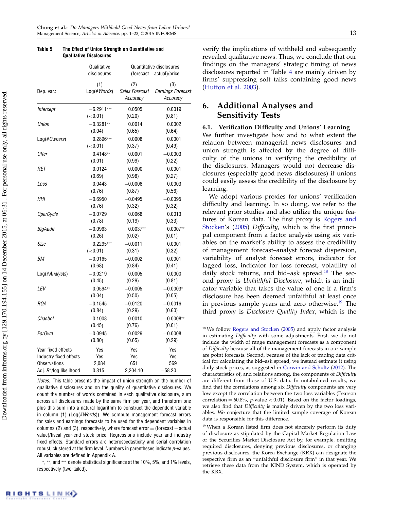|                                     | QUAIILALIVE DISGIUSUIES    |                                   |                                                      |
|-------------------------------------|----------------------------|-----------------------------------|------------------------------------------------------|
|                                     | Qualitative<br>disclosures |                                   | Quantitative disclosures<br>(forecast -actual)/price |
| Dep. var.:                          | (1)<br>Log(#Words)         | (2)<br>Sales Forecast<br>Accuracy | (3)<br>Earnings Forecast<br>Accuracy                 |
| Intercept                           | $-6.2911***$               | 0.0505                            | 0.0019                                               |
|                                     | (<0.01)                    | (0.20)                            | (0.81)                                               |
| Union                               | $-0.3281**$                | 0.0014                            | 0.0002                                               |
|                                     | (0.04)                     | (0.65)                            | (0.64)                                               |
| Log(#Owners)                        | 0.2896***                  | 0.0008                            | 0.0001                                               |
|                                     | (<0.01)                    | (0.37)                            | (0.49)                                               |
| <b>Offer</b>                        | $0.4148**$                 | 0.0001                            | $-0.0003$                                            |
|                                     | (0.01)                     | (0.99)                            | (0.22)                                               |
| RET                                 | 0.0124                     | 0.0000                            | 0.0001                                               |
|                                     | (0.69)                     | (0.98)                            | (0.27)                                               |
| Loss                                | 0.0443                     | $-0.0006$                         | 0.0003                                               |
|                                     | (0.76)                     | (0.87)                            | (0.56)                                               |
| HHI                                 | $-0.6950$                  | $-0.0495$                         | $-0.0095$                                            |
|                                     | (0.76)                     | (0.32)                            | (0.32)                                               |
| OperCycle                           | $-0.0729$                  | 0.0068                            | 0.0013                                               |
|                                     | (0.78)                     | (0.19)                            | (0.33)                                               |
| BigAudit                            | $-0.0963$                  | $0.0037**$                        | $0.0007**$                                           |
|                                     | (0.26)                     | (0.02)                            | (0.01)                                               |
| Size                                | $0.2295***$                | $-0.0011$                         | 0.0001                                               |
|                                     | (<0.01)                    | (0.31)                            | (0.32)                                               |
| BМ                                  | $-0.0165$                  | $-0.0002$                         | 0.0001                                               |
|                                     | (0.68)                     | (0.84)                            | (0.41)                                               |
| Log(#Analysts)                      | $-0.0219$                  | 0.0005                            | 0.0000                                               |
|                                     | (0.45)                     | (0.29)                            | (0.81)                                               |
| LEV                                 | $0.0594**$                 | $-0.0005$                         | $-0.0003*$                                           |
|                                     | (0.04)                     | (0.50)                            | (0.05)                                               |
| <b>ROA</b>                          | $-0.1545$                  | $-0.0120$                         | $-0.0016$                                            |
|                                     | (0.84)                     | (0.29)                            | (0.60)                                               |
| Chaebol                             | 0.1008                     | 0.0010                            | $-0.0008**$                                          |
|                                     | (0.45)                     | (0.76)                            | (0.01)                                               |
| <b>ForOwn</b>                       | $-0.0945$                  | 0.0029                            | $-0.0008$                                            |
|                                     | (0.80)                     | (0.65)                            | (0.29)                                               |
| Year fixed effects                  | Yes                        | Yes                               | Yes                                                  |
| Industry fixed effects              | Yes                        | Yes                               | Yes                                                  |
| <b>Observations</b>                 | 2,084                      | 651                               | 569                                                  |
| Adj. R <sup>2</sup> /log likelihood | 0.315                      | 2,204.10                          | $-58.20$                                             |

<span id="page-13-0"></span>Table 5 The Effect of Union Strength on Quantitative and Qualitative Disclosures

Notes. This table presents the impact of union strength on the number of qualitative disclosures and on the quality of quantitative disclosures. We count the number of words contained in each qualitative disclosure, sum across all disclosures made by the same firm per year, and transform one plus this sum into a natural logarithm to construct the dependent variable in column (1) ( $Log(\#Words)$ ). We compute management forecast errors for sales and earnings forecasts to be used for the dependent variables in columns (2) and (3), respectively, where forecast  $error = (forecast - actual$ value)/fiscal year-end stock price. Regressions include year and industry fixed effects. Standard errors are heteroscedasticity and serial correlation robust, clustered at the firm level. Numbers in parentheses indicate  $p$ -values. All variables are defined in Appendix A.

∗ , ∗∗, and ∗∗∗ denote statistical significance at the 10%, 5%, and 1% levels, respectively (two-tailed).

verify the implications of withheld and subsequently revealed qualitative news. Thus, we conclude that our findings on the managers' strategic timing of news disclosures reported in Table [4](#page-11-0) are mainly driven by firms' suppressing soft talks containing good news [\(Hutton et al.](#page-22-40) [2003\)](#page-22-40).

## 6. Additional Analyses and Sensitivity Tests

## 6.1. Verification Difficulty and Unions' Learning

We further investigate how and to what extent the relation between managerial news disclosures and union strength is affected by the degree of difficulty of the unions in verifying the credibility of the disclosures. Managers would not decrease disclosures (especially good news disclosures) if unions could easily assess the credibility of the disclosure by learning.

We adopt various proxies for unions' verification difficulty and learning. In so doing, we refer to the relevant prior studies and also utilize the unique features of Korean data. The first proxy is [Rogers and](#page-23-17) [Stocken'](#page-23-17)s [\(2005\)](#page-23-17) Difficulty, which is the first principal component from a factor analysis using six variables on the market's ability to assess the credibility of management forecast–analyst forecast dispersion, variability of analyst forecast errors, indicator for lagged loss, indicator for loss forecast, volatility of daily stock returns, and bid–ask spread.<sup>[18](#page-13-1)</sup> The second proxy is Unfaithful Disclosure, which is an indicator variable that takes the value of one if a firm's disclosure has been deemed unfaithful at least once in previous sample years and zero otherwise.<sup>[19](#page-13-2)</sup> The third proxy is Disclosure Quality Index, which is the

<span id="page-13-1"></span><sup>18</sup> We follow [Rogers and Stocken](#page-23-17) [\(2005\)](#page-23-17) and apply factor analysis in estimating Difficulty with some adjustments. First, we do not include the width of range management forecasts as a component of Difficulty because all of the management forecasts in our sample are point forecasts. Second, because of the lack of trading data critical for calculating the bid–ask spread, we instead estimate it using daily stock prices, as suggested in [Corwin and Schultz](#page-22-41) [\(2012\)](#page-22-41). The characteristics of, and relations among, the components of Difficulty are different from those of U.S. data. In untabulated results, we find that the correlations among six Difficulty components are very low except the correlation between the two loss variables (Pearson correlation =  $60.8\%$ , p-value < 0.01). Based on the factor loadings, we also find that Difficulty is mainly driven by the two loss variables. We conjecture that the limited sample coverage of Korean data is responsible for this difference.

<span id="page-13-2"></span><sup>19</sup> When a Korean listed firm does not sincerely perform its duty of disclosure as stipulated by the Capital Market Regulation Law or the Securities Market Disclosure Act by, for example, omitting required disclosures, denying previous disclosures, or changing previous disclosures, the Korea Exchange (KRX) can designate the respective firm as an "unfaithful disclosure firm" in that year. We retrieve these data from the KIND System, which is operated by the KRX.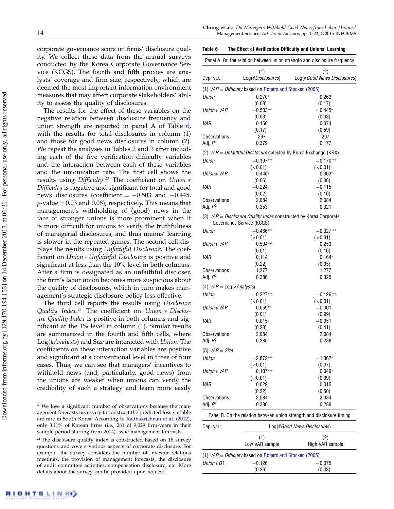corporate governance score on firms' disclosure quality. We collect these data from the annual surveys conducted by the Korea Corporate Governance Service (KCGS). The fourth and fifth proxies are analysts' coverage and firm size, respectively, which are deemed the most important information environment measures that may affect corporate stakeholders' ability to assess the quality of disclosures.

The results for the effect of these variables on the negative relation between disclosure frequency and union strength are reported in panel A of Table [6,](#page-14-0) with the results for total disclosures in column (1) and those for good news disclosures in column (2). We repeat the analyses in Tables [2](#page-8-0) and [3](#page-10-0) after including each of the five verification difficulty variables and the interaction between each of these variables and the unionization rate. The first cell shows the results using *Difficulty.*<sup>[20](#page-14-1)</sup> The coefficient on Union ∗ Difficulty is negative and significant for total and good news disclosures (coefficient =  $-0.503$  and  $-0.445$ ,  $p$ -value = 0.03 and 0.08), respectively. This means that management's withholding of (good) news in the face of stronger unions is more prominent when it is more difficult for unions to verify the truthfulness of managerial disclosures, and thus unions' learning is slower in the repeated games. The second cell displays the results using Unfaithful Disclosure. The coefficient on Union ∗ Unfaithful Disclosure is positive and significant at less than the 10% level in both columns. After a firm is designated as an unfaithful discloser, the firm's labor union becomes more suspicious about the quality of disclosures, which in turn makes management's strategic disclosure policy less effective.

The third cell reports the results using Disclosure Quality Index.<sup>[21](#page-14-2)</sup> The coefficient on Union \* Disclosure Quality Index is positive in both columns and significant at the 1% level in column (1). Similar results are summarized in the fourth and fifth cells, where Log(#Analysts) and Size are interacted with Union. The coefficients on these interaction variables are positive and significant at a conventional level in three of four cases. Thus, we can see that managers' incentives to withhold news (and, particularly, good news) from the unions are weaker when unions can verify the credibility of such a strategy and learn more easily

#### Chung et al.: Do Managers Withhold Good News from Labor Unions? 14 Management Science, Articles in Advance, pp. 1–23, © 2015 INFORMS

#### <span id="page-14-0"></span>Table 6 The Effect of Verification Difficulty and Unions' Learning

|                             |                                                           | Panel A. On the relation between union strength and disclosure frequency |
|-----------------------------|-----------------------------------------------------------|--------------------------------------------------------------------------|
|                             | (1)                                                       | (2)                                                                      |
| Dep. var.:                  | Log(#Disclosures)                                         | Log(#Good News Disclosures)                                              |
|                             | (1) $VAR = Difficulty$ based on Rogers and Stocken (2005) |                                                                          |
| Union                       | $0.270*$                                                  | 0.263                                                                    |
|                             | (0.08)                                                    | (0.17)                                                                   |
| Union * VAR                 | $-0.503**$                                                | $-0.445*$                                                                |
|                             | (0.03)                                                    | (0.08)                                                                   |
| VAR                         | 0.156                                                     | 0.074                                                                    |
|                             | (0.17)                                                    | (0.59)                                                                   |
| Observations                | 297                                                       | 297                                                                      |
| Adj. <i>R</i> <sup>2</sup>  | 0.379                                                     | 0.177                                                                    |
|                             |                                                           | (2) VAR = Unfaithful Disclosure detected by Korea Exchange (KRX)         |
| Union                       | $-0.197***$                                               | $-0.170***$                                                              |
|                             | (< 0.01)                                                  | (<0.01)                                                                  |
| Union * VAR                 | $0.446*$                                                  | $0.363*$                                                                 |
|                             | (0.06)                                                    | (0.06)                                                                   |
| VAR                         | $-0.224$                                                  | $-0.115$                                                                 |
|                             | (0.02)                                                    | (0.16)                                                                   |
| Observations                | 2,084                                                     | 2,084                                                                    |
| Adj. <i>R</i> <sup>2</sup>  | 0.353                                                     | 0.321                                                                    |
|                             | Governance Service (KCGS)                                 | (3) VAR = Disclosure Quality Index constructed by Korea Corporate        |
| Union                       | $-0.466***$                                               | $-0.327***$                                                              |
|                             | (< 0.01)                                                  | (<0.01)                                                                  |
| Union * VAR                 | $0.504***$                                                | 0.253                                                                    |
|                             | (0.01)                                                    | (0.16)                                                                   |
| VAR                         | 0.114                                                     | $0.164*$                                                                 |
|                             | (0.22)                                                    | (0.05)                                                                   |
| Observations                | 1,277                                                     | 1,277                                                                    |
| Adj. <i>R</i> °             | 0.386                                                     | 0.325                                                                    |
| (4) $VAR = Log(\#Analysis)$ |                                                           |                                                                          |
| Union                       | $-0.327***$                                               | $-0.126***$                                                              |
|                             | (<0.01)                                                   | (< 0.01)                                                                 |
| Union * VAR                 | $0.059**$                                                 | $-0.001$                                                                 |
|                             | (0.01)                                                    | (0.99)                                                                   |
| VAR                         | 0.015                                                     | $-0.051$                                                                 |
|                             | (0.28)                                                    | (0.41)                                                                   |
| Observations                | 2,084                                                     | 2,084                                                                    |
| Adj. <i>R</i> °             | 0.385                                                     | 0.288                                                                    |
|                             |                                                           |                                                                          |
| (5) $VAR = Size$            |                                                           |                                                                          |
| Union                       | $-2.872^{\ast\ast\ast}$                                   | $-1.362^*$                                                               |
|                             | (< 0.01)                                                  | (0.07)                                                                   |
| Union * VAR                 | $0.107***$                                                | $0.049*$                                                                 |
|                             | (<0.01)                                                   | (0.09)                                                                   |
| VAR                         | 0.029                                                     | 0.015                                                                    |
|                             | (0.22)                                                    | (0.50)                                                                   |
| Observations                | 2,084                                                     | 2,084                                                                    |
| Adj. <i>R</i> <sup>2</sup>  | 0.386                                                     | 0.289                                                                    |
|                             |                                                           | Panel B. On the relation between union strength and disclosure timing    |
| Dep. var.:                  |                                                           | Log(#Good News Disclosures)                                              |
|                             | (1)                                                       | (2)                                                                      |
|                             | Low VAR sample                                            | High VAR sample                                                          |
|                             | (1) $VAR = Difficulty$ based on Rogers and Stocken (2005) |                                                                          |
| Union * Q1                  | $-0.126$                                                  | $-0.075$                                                                 |
|                             | (0.36)                                                    | (0.43)                                                                   |

<span id="page-14-1"></span><sup>20</sup> We lose a significant number of observations because the management forecasts necessary to construct the predicted loss variable are rare in South Korea. According to [Radhakrishnan et al.](#page-23-18) [\(2012\)](#page-23-18), only 3.11% of Korean firms (i.e., 281 of 9,029 firm-years in their sample period starting from 2004) issue management forecasts.

<span id="page-14-2"></span><sup>&</sup>lt;sup>21</sup> The disclosure quality index is constructed based on 18 survey questions and covers various aspects of corporate disclosure. For example, the survey considers the number of investor relations meetings, the provision of management forecasts, the disclosure of audit committee activities, compensation disclosure, etc. More details about the survey can be provided upon request.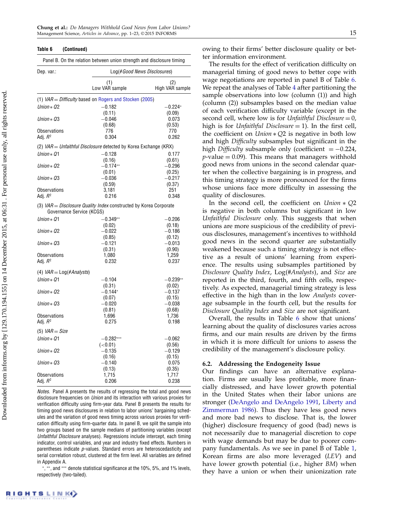#### Table 6 (Continued)

|                                   | Panel B. On the relation between union strength and disclosure timing |                             |
|-----------------------------------|-----------------------------------------------------------------------|-----------------------------|
| Dep. var.:                        |                                                                       | Log(#Good News Disclosures) |
|                                   | (1)<br>Low VAR sample                                                 | (2)<br>High VAR sample      |
|                                   | (1) $VAR = Difficulty$ based on Rogers and Stocken (2005)             |                             |
| Union $*$ Q2                      | $-0.182$                                                              | $-0.224*$                   |
|                                   | (0.11)                                                                | (0.09)                      |
| Union $*$ Q3                      | $-0.046$                                                              | 0.073                       |
| <b>Observations</b>               | (0.68)<br>776                                                         | (0.53)<br>770               |
| Adj. $R^2$                        | 0.304                                                                 | 0.262                       |
|                                   | (2) $VAR = Unfaithful Disclosure detected by Korea Exchange (KRX)$    |                             |
|                                   |                                                                       |                             |
| Union $*$ Q1                      | $-0.128$<br>(0.16)                                                    | 0.177<br>(0.61)             |
| Union $*$ 02                      | $-0.174**$                                                            | $-0.296$                    |
|                                   | (0.01)                                                                | (0.25)                      |
| Union $*$ 03                      | -0.036                                                                | -0.217                      |
|                                   | (0.59)                                                                | (0.37)                      |
| <b>Observations</b>               | 3,181                                                                 | 251                         |
| Adj. <i>R</i> <sup>2</sup>        | 0.216                                                                 | 0.348                       |
| Governance Service (KCGS)         | (3) $VAR = Disclosure$ Quality Index constructed by Korea Corporate   |                             |
| Union $*$ Q1                      | $-0.349**$                                                            | $-0.206$                    |
|                                   | (0.02)                                                                | (0.18)                      |
| Union $*$ Q2                      | $-0.022$                                                              | $-0.186$                    |
|                                   | (0.85)                                                                | (0.12)                      |
| Union $*$ Q3                      | $-0.121$                                                              | $-0.013$                    |
|                                   | (0.31)                                                                | (0.90)                      |
| <b>Observations</b>               | 1,080                                                                 | 1,259                       |
| Adi. $R^2$                        | 0.232                                                                 | 0.237                       |
| (4) $VAR = Log(\#Analysis)$       |                                                                       |                             |
| Union $*$ 01                      | $-0.104$                                                              | $-0.239**$                  |
|                                   | (0.31)                                                                | (0.02)                      |
| Union $*$ Q2                      | $-0.144*$                                                             | $-0.137$                    |
|                                   | (0.07)                                                                | (0.15)                      |
| Union $*$ 03                      | $-0.020$                                                              | $-0.038$                    |
|                                   | (0.81)                                                                | (0.68)                      |
| <b>Observations</b><br>Adj. $R^2$ | 1,696<br>0.275                                                        | 1,736<br>0.198              |
|                                   |                                                                       |                             |
| $(5)$ VAR = Size                  |                                                                       |                             |
| Union $*$ Q1                      | $-0.282***$                                                           | $-0.062$                    |
|                                   | (<0.01)                                                               | (0.56)                      |
| Union $*$ Q2                      | $-0.135$                                                              | $-0.129$                    |
|                                   | (0.16)                                                                | (0.15)                      |
| Union $*$ Q3                      | $-0.140$<br>(0.13)                                                    | 0.075<br>(0.35)             |
| <b>Observations</b>               | 1,715                                                                 | 1,717                       |
| Adj. $R^2$                        | 0.206                                                                 | 0.238                       |
|                                   |                                                                       |                             |

Notes. Panel A presents the results of regressing the total and good news disclosure frequencies on Union and its interaction with various proxies for verification difficulty using firm-year data. Panel B presents the results for timing good news disclosures in relation to labor unions' bargaining schedules and the variation of good news timing across various proxies for verification difficulty using firm-quarter data. In panel B, we split the sample into two groups based on the sample medians of partitioning variables (except Unfaithful Disclosure analyses). Regressions include intercept, each timing indicator, control variables, and year and industry fixed effects. Numbers in parentheses indicate p-values. Standard errors are heteroscedasticity and serial correlation robust, clustered at the firm level. All variables are defined in Appendix A.

∗ , ∗∗, and ∗∗∗ denote statistical significance at the 10%, 5%, and 1% levels, respectively (two-tailed).

owing to their firms' better disclosure quality or better information environment.

The results for the effect of verification difficulty on managerial timing of good news to better cope with wage negotiations are reported in panel B of Table [6.](#page-14-0) We repeat the analyses of Table [4](#page-11-0) after partitioning the sample observations into low (column (1)) and high (column (2)) subsamples based on the median value of each verification difficulty variable (except in the second cell, where low is for Unfaithful Disclosure  $= 0$ , high is for Unfaithful Disclosure  $= 1$ ). In the first cell, the coefficient on  $Union * Q2$  is negative in both low and high Difficulty subsamples but significant in the high *Difficulty* subsample only (coefficient  $= -0.224$ ,  $p$ -value = 0.09). This means that managers withhold good news from unions in the second calendar quarter when the collective bargaining is in progress, and this timing strategy is more pronounced for the firms whose unions face more difficulty in assessing the quality of disclosures.

In the second cell, the coefficient on  $Union * Q2$ is negative in both columns but significant in low Unfaithful Disclosure only. This suggests that when unions are more suspicious of the credibility of previous disclosures, management's incentives to withhold good news in the second quarter are substantially weakened because such a timing strategy is not effective as a result of unions' learning from experience. The results using subsamples partitioned by Disclosure Quality Index, Log(#Analysts), and Size are reported in the third, fourth, and fifth cells, respectively. As expected, managerial timing strategy is less effective in the high than in the low Analysts coverage subsample in the fourth cell, but the results for Disclosure Quality Index and Size are not significant.

Overall, the results in Table [6](#page-14-0) show that unions' learning about the quality of disclosures varies across firms, and our main results are driven by the firms in which it is more difficult for unions to assess the credibility of the management's disclosure policy.

#### 6.2. Addressing the Endogeneity Issue

Our findings can have an alternative explanation. Firms are usually less profitable, more financially distressed, and have lower growth potential in the United States when their labor unions are stronger [\(DeAngelo and DeAngelo](#page-22-1) [1991,](#page-22-1) [Liberty and](#page-23-3) [Zimmerman](#page-23-3) [1986\)](#page-23-3). Thus they have less good news and more bad news to disclose. That is, the lower (higher) disclosure frequency of good (bad) news is not necessarily due to managerial discretion to cope with wage demands but may be due to poorer company fundamentals. As we see in panel B of Table [1,](#page-7-1) Korean firms are also more leveraged (LEV) and have lower growth potential (i.e., higher BM) when they have a union or when their unionization rate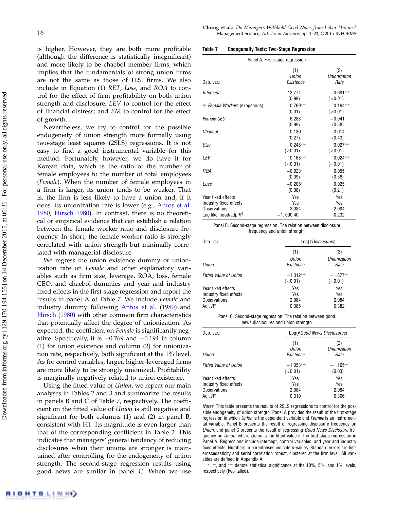is higher. However, they are both more profitable (although the difference is statistically insignificant) and more likely to be chaebol member firms, which implies that the fundamentals of strong union firms are not the same as those of U.S. firms. We also include in Equation [\(1\)](#page-6-1) RET, Loss, and ROA to control for the effect of firm profitability on both union strength and disclosure; LEV to control for the effect of financial distress; and BM to control for the effect of growth.

Nevertheless, we try to control for the possible endogeneity of union strength more formally using two-stage least squares (2SLS) regressions. It is not easy to find a good instrumental variable for this method. Fortunately, however, we do have it for Korean data, which is the ratio of the number of female employees to the number of total employees (Female). When the number of female employees in a firm is larger, its union tends to be weaker. That is, the firm is less likely to have a union and, if it does, its unionization rate is lower (e.g., [Antos et al.](#page-22-42) [1980,](#page-22-42) [Hirsch](#page-22-43) [1980\)](#page-22-43). In contrast, there is no theoretical or empirical evidence that can establish a relation between the female worker ratio and disclosure frequency. In short, the female worker ratio is strongly correlated with union strength but minimally correlated with managerial disclosure.

We regress the union existence dummy or unionization rate on Female and other explanatory variables such as firm size, leverage, ROA, loss, female CEO, and chaebol dummies and year and industry fixed effects in the first stage regression and report the results in panel A of Table [7.](#page-16-0) We include Female and industry dummy following [Antos et al.](#page-22-42) [\(1980\)](#page-22-42) and [Hirsch](#page-22-43) [\(1980\)](#page-22-43) with other common firm characteristics that potentially affect the degree of unionization. As expected, the coefficient on Female is significantly negative. Specifically, it is −0.769 and −0.194 in column (1) for union existence and column (2) for unionization rate, respectively, both significant at the 1% level. As for control variables, larger, higher-leveraged firms are more likely to be strongly unionized. Profitability is marginally negatively related to union existence.

Using the fitted value of Union, we repeat our main analyses in Tables [2](#page-8-0) and [3](#page-10-0) and summarize the results in panels B and C of Table [7,](#page-16-0) respectively. The coefficient on the fitted value of Union is still negative and significant for both columns (1) and (2) in panel B, consistent with [H1.](#page-4-2) Its magnitude is even larger than that of the corresponding coefficient in Table [2.](#page-8-0) This indicates that managers' general tendency of reducing disclosures when their unions are stronger is maintained after controlling for the endogeneity of union strength. The second-stage regression results using good news are similar in panel C. When we use

#### <span id="page-16-0"></span>Table 7 Endogeneity Tests: Two-Stage Regression

| Panel A. First-stage regression                                        |                       |                         |  |  |  |  |
|------------------------------------------------------------------------|-----------------------|-------------------------|--|--|--|--|
| (2)<br>(1)<br>Union<br>Unionization<br>Existence<br>Rate<br>Dep. var.: |                       |                         |  |  |  |  |
| Intercept                                                              | $-12.774$<br>(0.99)   | $-0.691***$<br>(< 0.01) |  |  |  |  |
| % Female Workers (exogenous)                                           | $-0.769***$<br>(0.01) | $-0.194***$<br>(<0.01)  |  |  |  |  |
| Female CEO                                                             | 6.283<br>(0.99)       | $-0.041$<br>(0.58)      |  |  |  |  |
| Chaebol                                                                | $-0.130$<br>(0.27)    | $-0.014$<br>(0.43)      |  |  |  |  |
| Size                                                                   | $0.248***$<br>(<0.01) | $0.027***$<br>(<0.01)   |  |  |  |  |
| LEV                                                                    | $0.168***$<br>(<0.01) | $0.024***$<br>(<0.01)   |  |  |  |  |
| <b>ROA</b>                                                             | $-0.923*$<br>(0.09)   | 0.055<br>(0.56)         |  |  |  |  |
| Loss                                                                   | $-0.206*$<br>(0.08)   | 0.025<br>(0.21)         |  |  |  |  |
| Year fixed effects                                                     | Yes                   | Yes                     |  |  |  |  |
| Industry fixed effects                                                 | Yes                   | Yes                     |  |  |  |  |
| Observations                                                           | 2,084                 | 2,084                   |  |  |  |  |
| Log likelihood/adj. $R^2$                                              | $-1,000.40$           | 0.232                   |  |  |  |  |

Panel B. Second-stage regression: The relation between disclosure frequency and union strength

| Dep. var.:                                                                                 | Log(#Disclosures)            |                              |  |
|--------------------------------------------------------------------------------------------|------------------------------|------------------------------|--|
| Union:                                                                                     | (1)<br>Union<br>Existence    | (2)<br>Unionization<br>Rate  |  |
| <b>Fitted Value of Union</b>                                                               | $-1.312***$<br>(<0.01)       | $-1.877**$<br>(<0.01)        |  |
| Year fixed effects<br>Industry fixed effects<br><b>Observations</b><br>Adj. R <sup>2</sup> | Yes<br>Yes<br>2.084<br>0.385 | Yes<br>Yes<br>2,084<br>0.382 |  |

Panel C. Second-stage regression: The relation between good news disclosures and union strength

| Dep. var.:                                                          | Log(#Good News Disclosures) |                                   |  |
|---------------------------------------------------------------------|-----------------------------|-----------------------------------|--|
| Union:                                                              | (1)<br>Union<br>Existence   | (2)<br>Unionization<br>Rate       |  |
| <b>Fitted Value of Union</b>                                        | $-1.053***$<br>(<0.01)      | $-1.195**$<br>(0.03)              |  |
| Year fixed effects<br>Industry fixed effects<br><b>Observations</b> | Yes<br>Yes<br>2,084         | <b>Yes</b><br><b>Yes</b><br>2,084 |  |
| Adj. R <sup>2</sup>                                                 | 0.310                       | 0.306                             |  |

Notes. This table presents the results of 2SLS regressions to control for the possible endogeneity of union strength. Panel A provides the result of the first-stage regression in which Union is the dependent variable and Female is an instrumental variable. Panel B presents the result of regressing disclosure frequency on Union, and panel C presents the result of regressing Good News Disclosure frequency on *Union*, where *Union* is the fitted value in the first-stage regression in Panel A. Regressions include intercept, control variables, and year and industry fixed effects. Numbers in parentheses indicate p-values. Standard errors are heteroscedasticity and serial correlation robust, clustered at the firm level. All variables are defined in Appendix A.

∗ , ∗∗, and ∗∗∗ denote statistical significance at the 10%, 5%, and 1% levels, respectively (two-tailed).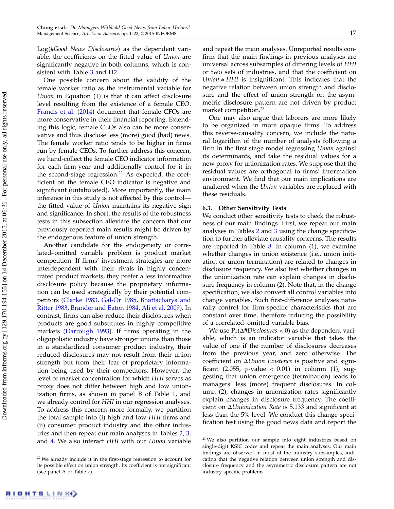Log(#Good News Disclosures) as the dependent variable, the coefficients on the fitted value of Union are significantly negative in both columns, which is consistent with Table [3](#page-10-0) and [H2.](#page-5-0)

One possible concern about the validity of the female worker ratio as the instrumental variable for Union in Equation [\(1\)](#page-6-1) is that it can affect disclosure level resulting from the existence of a female CEO. [Francis et al.](#page-22-44) [\(2014\)](#page-22-44) document that female CFOs are more conservative in their financial reporting. Extending this logic, female CEOs also can be more conservative and thus disclose less (more) good (bad) news. The female worker ratio tends to be higher in firms run by female CEOs. To further address this concern, we hand-collect the female CEO indicator information for each firm-year and additionally control for it in the second-stage regression.<sup>[22](#page-17-0)</sup> As expected, the coefficient on the female CEO indicator is negative and significant (untabulated). More importantly, the main inference in this study is not affected by this control the fitted value of Union maintains its negative sign and significance. In short, the results of the robustness tests in this subsection alleviate the concern that our previously reported main results might be driven by the endogenous feature of union strength.

Another candidate for the endogeneity or correlated–omitted variable problem is product market competition. If firms' investment strategies are more interdependent with their rivals in highly concentrated product markets, they prefer a less informative disclosure policy because the proprietary information can be used strategically by their potential competitors [\(Clarke](#page-22-45) [1983,](#page-22-45) [Gal-Or](#page-22-46) [1985,](#page-22-46) [Bhattacharya and](#page-22-47) [Ritter](#page-22-47) [1983,](#page-22-47) [Brander and Eaton](#page-22-48) [1984,](#page-22-48) [Ali et al.](#page-22-49) [2009\)](#page-22-49). In contrast, firms can also reduce their disclosures when products are good substitutes in highly competitive markets [\(Darrough](#page-22-50) [1993\)](#page-22-50). If firms operating in the oligopolistic industry have stronger unions than those in a standardized consumer product industry, their reduced disclosures may not result from their union strength but from their fear of proprietary information being used by their competitors. However, the level of market concentration for which HHI serves as proxy does not differ between high and low unionization firms, as shown in panel B of Table [1,](#page-7-1) and we already control for HHI in our regression analyses. To address this concern more formally, we partition the total sample into (i) high and low HHI firms and (ii) consumer product industry and the other industries and then repeat our main analyses in Tables [2,](#page-8-0) [3,](#page-10-0) and [4.](#page-11-0) We also interact HHI with our Union variable and repeat the main analyses. Unreported results confirm that the main findings in previous analyses are universal across subsamples of differing levels of HHI or two sets of industries, and that the coefficient on Union ∗ HHI is insignificant. This indicates that the negative relation between union strength and disclosure and the effect of union strength on the asymmetric disclosure pattern are not driven by product market competition.[23](#page-17-1)

One may also argue that laborers are more likely to be organized in more opaque firms. To address this reverse-causality concern, we include the natural logarithm of the number of analysts following a firm in the first stage model regressing Union against its determinants, and take the residual values for a new proxy for unionization rates. We suppose that the residual values are orthogonal to firms' information environment. We find that our main implications are unaltered when the Union variables are replaced with these residuals.

#### 6.3. Other Sensitivity Tests

We conduct other sensitivity tests to check the robustness of our main findings. First, we repeat our main analyses in Tables [2](#page-8-0) and [3](#page-10-0) using the change specification to further alleviate causality concerns. The results are reported in Table [8.](#page-18-0) In column (1), we examine whether changes in union existence (i.e., union initiation or union termination) are related to changes in disclosure frequency. We also test whether changes in the unionization rate can explain changes in disclosure frequency in column (2). Note that, in the change specification, we also convert all control variables into change variables. Such first-difference analyses naturally control for firm-specific characteristics that are constant over time, therefore reducing the possibility of a correlated–omitted variable bias.

We use  $Pr(\Delta \# Discussloઘ = 0)$  as the dependent variable, which is an indicator variable that takes the value of one if the number of disclosures decreases from the previous year, and zero otherwise. The coefficient on  $\Delta$ *Union Existence* is positive and significant (2.055, *p*-value  $<$  0.01) in column (1), suggesting that union emergence (termination) leads to managers' less (more) frequent disclosures. In column (2), changes in unionization rates significantly explain changes in disclosure frequency. The coefficient on  $\Delta$ *Unionization Rate* is 5.133 and significant at less than the 5% level. We conduct this change specification test using the good news data and report the

<span id="page-17-0"></span><sup>&</sup>lt;sup>22</sup> We already include it in the first-stage regression to account for its possible effect on union strength. Its coefficient is not significant (see panel A of Table [7\)](#page-16-0).

<span id="page-17-1"></span><sup>&</sup>lt;sup>23</sup> We also partition our sample into eight industries based on single-digit KSIC codes and repeat the main analyses. Our main findings are observed in most of the industry subsamples, indicating that the negative relation between union strength and disclosure frequency and the asymmetric disclosure pattern are not industry-specific problems.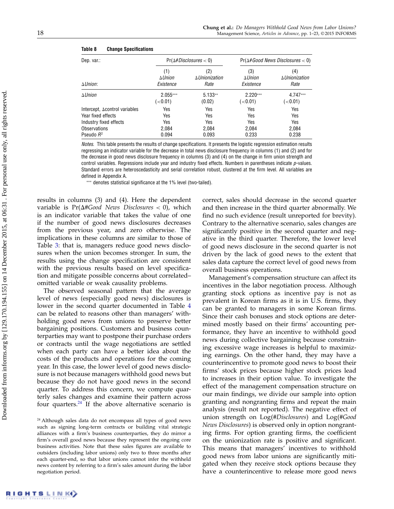| Dep. var.:<br>$\Delta$ <i>Union</i> : | $Pr(\Delta#Disclosures < 0)$              |                                             | $Pr(\Delta \# Good News \, Discussures < 0)$ |                                             |
|---------------------------------------|-------------------------------------------|---------------------------------------------|----------------------------------------------|---------------------------------------------|
|                                       | (1)<br>$\Delta$ <i>Union</i><br>Existence | (2)<br>$\Delta$ <i>Unionization</i><br>Rate | (3)<br>$\Delta$ <i>Union</i><br>Existence    | (4)<br>$\Delta$ <i>Unionization</i><br>Rate |
| $\Delta$ <i>Union</i>                 | $2.055***$<br>(< 0.01)                    | $5.133**$<br>(0.02)                         | $2.220***$<br>$\left( <0.01\right)$          | 4.747***<br>$\leq 0.01$                     |
| Intercept, Acontrol variables         | Yes                                       | Yes                                         | Yes                                          | Yes                                         |
| Year fixed effects                    | Yes                                       | Yes                                         | Yes                                          | Yes                                         |
| Industry fixed effects                | Yes                                       | Yes                                         | Yes                                          | Yes                                         |
| Observations                          | 2.084                                     | 2,084                                       | 2,084                                        | 2,084                                       |
| Pseudo $R^2$                          | 0.094                                     | 0.093                                       | 0.233                                        | 0.238                                       |

#### <span id="page-18-0"></span>Table 8 Change Specifications

Notes. This table presents the results of change specifications. It presents the logistic regression estimation results regressing an indicator variable for the decrease in total news disclosure frequency in columns (1) and (2) and for the decrease in good news disclosure frequency in columns (3) and (4) on the change in firm union strength and control variables. Regressions include year and industry fixed effects. Numbers in parentheses indicate  $p$ -values. Standard errors are heteroscedasticity and serial correlation robust, clustered at the firm level. All variables are defined in Appendix A.

∗∗∗ denotes statistical significance at the 1% level (two-tailed).

results in columns (3) and (4). Here the dependent variable is  $Pr(\Delta \# Good$  News Disclosures < 0), which is an indicator variable that takes the value of one if the number of good news disclosures decreases from the previous year, and zero otherwise. The implications in these columns are similar to those of Table [3:](#page-10-0) that is, managers reduce good news disclosures when the union becomes stronger. In sum, the results using the change specification are consistent with the previous results based on level specification and mitigate possible concerns about correlated– omitted variable or weak causality problems.

The observed seasonal pattern that the average level of news (especially good news) disclosures is lower in the second quarter documented in Table [4](#page-11-0) can be related to reasons other than managers' withholding good news from unions to preserve better bargaining positions. Customers and business counterparties may want to postpone their purchase orders or contracts until the wage negotiations are settled when each party can have a better idea about the costs of the products and operations for the coming year. In this case, the lower level of good news disclosure is not because managers withhold good news but because they do not have good news in the second quarter. To address this concern, we compute quarterly sales changes and examine their pattern across four quarters. $24$  If the above alternative scenario is correct, sales should decrease in the second quarter and then increase in the third quarter abnormally. We find no such evidence (result unreported for brevity). Contrary to the alternative scenario, sales changes are significantly positive in the second quarter and negative in the third quarter. Therefore, the lower level of good news disclosure in the second quarter is not driven by the lack of good news to the extent that sales data capture the correct level of good news from overall business operations.

Management's compensation structure can affect its incentives in the labor negotiation process. Although granting stock options as incentive pay is not as prevalent in Korean firms as it is in U.S. firms, they can be granted to managers in some Korean firms. Since their cash bonuses and stock options are determined mostly based on their firms' accounting performance, they have an incentive to withhold good news during collective bargaining because constraining excessive wage increases is helpful to maximizing earnings. On the other hand, they may have a counterincentive to promote good news to boost their firms' stock prices because higher stock prices lead to increases in their option value. To investigate the effect of the management compensation structure on our main findings, we divide our sample into option granting and nongranting firms and repeat the main analysis (result not reported). The negative effect of union strength on  $Log(HDisclosure)$  and  $Log(HGood)$ News Disclosures) is observed only in option nongranting firms. For option granting firms, the coefficient on the unionization rate is positive and significant. This means that managers' incentives to withhold good news from labor unions are significantly mitigated when they receive stock options because they have a counterincentive to release more good news

<span id="page-18-1"></span><sup>&</sup>lt;sup>24</sup> Although sales data do not encompass all types of good news such as signing long-term contracts or building vital strategic alliances with a firm's business counterparties, they do mirror a firm's overall good news because they represent the ongoing core business activities. Note that these sales figures are available to outsiders (including labor unions) only two to three months after each quarter-end, so that labor unions cannot infer the withheld news content by referring to a firm's sales amount during the labor negotiation period.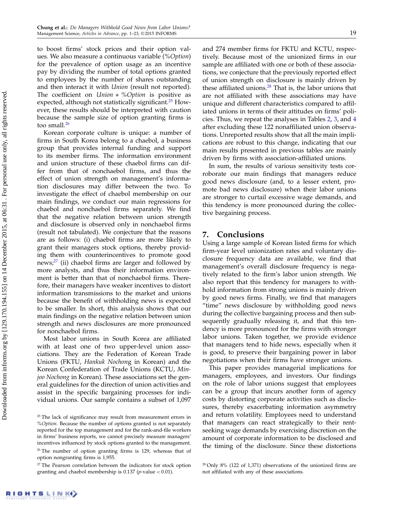to boost firms' stock prices and their option values. We also measure a continuous variable (%Option) for the prevalence of option usage as an incentive pay by dividing the number of total options granted to employees by the number of shares outstanding and then interact it with *Union* (result not reported). The coefficient on Union ∗ %Option is positive as expected, although not statistically significant.<sup>[25](#page-19-0)</sup> However, these results should be interpreted with caution because the sample size of option granting firms is too small.<sup>[26](#page-19-1)</sup>

Korean corporate culture is unique: a number of firms in South Korea belong to a chaebol, a business group that provides internal funding and support to its member firms. The information environment and union structure of these chaebol firms can differ from that of nonchaebol firms, and thus the effect of union strength on management's information disclosures may differ between the two. To investigate the effect of chaebol membership on our main findings, we conduct our main regressions for chaebol and nonchaebol firms separately. We find that the negative relation between union strength and disclosure is observed only in nonchaebol firms (result not tabulated). We conjecture that the reasons are as follows: (i) chaebol firms are more likely to grant their managers stock options, thereby providing them with counterincentives to promote good news; $27$  (ii) chaebol firms are larger and followed by more analysts, and thus their information environment is better than that of nonchaebol firms. Therefore, their managers have weaker incentives to distort information transmissions to the market and unions because the benefit of withholding news is expected to be smaller. In short, this analysis shows that our main findings on the negative relation between union strength and news disclosures are more pronounced for nonchaebol firms.

Most labor unions in South Korea are affiliated with at least one of two upper-level union associations. They are the Federation of Korean Trade Unions (FKTU, Hankuk Nochong in Korean) and the Korean Confederation of Trade Unions (KCTU, Minjoo Nochong in Korean). These associations set the general guidelines for the direction of union activities and assist in the specific bargaining processes for individual unions. Our sample contains a subset of 1,097 and 274 member firms for FKTU and KCTU, respectively. Because most of the unionized firms in our sample are affiliated with one or both of these associations, we conjecture that the previously reported effect of union strength on disclosure is mainly driven by these affiliated unions. $28$  That is, the labor unions that are not affiliated with these associations may have unique and different characteristics compared to affiliated unions in terms of their attitudes on firms' policies. Thus, we repeat the analyses in Tables [2,](#page-8-0) [3,](#page-10-0) and [4](#page-11-0) after excluding these 122 nonaffiliated union observations. Unreported results show that all the main implications are robust to this change, indicating that our main results presented in previous tables are mainly driven by firms with association-affiliated unions.

In sum, the results of various sensitivity tests corroborate our main findings that managers reduce good news disclosure (and, to a lesser extent, promote bad news disclosure) when their labor unions are stronger to curtail excessive wage demands, and this tendency is more pronounced during the collective bargaining process.

## 7. Conclusions

Using a large sample of Korean listed firms for which firm-year level unionization rates and voluntary disclosure frequency data are available, we find that management's overall disclosure frequency is negatively related to the firm's labor union strength. We also report that this tendency for managers to withhold information from strong unions is mainly driven by good news firms. Finally, we find that managers "time" news disclosure by withholding good news during the collective bargaining process and then subsequently gradually releasing it, and that this tendency is more pronounced for the firms with stronger labor unions. Taken together, we provide evidence that managers tend to hide news, especially when it is good, to preserve their bargaining power in labor negotiations when their firms have stronger unions.

This paper provides managerial implications for managers, employees, and investors. Our findings on the role of labor unions suggest that employees can be a group that incurs another form of agency costs by distorting corporate activities such as disclosures, thereby exacerbating information asymmetry and return volatility. Employees need to understand that managers can react strategically to their rentseeking wage demands by exercising discretion on the amount of corporate information to be disclosed and the timing of the disclosure. Since these distortions

<span id="page-19-0"></span><sup>&</sup>lt;sup>25</sup> The lack of significance may result from measurement errors in %Option. Because the number of options granted is not separately reported for the top management and for the rank-and-file workers in firms' business reports, we cannot precisely measure managers' incentives influenced by stock options granted to the management.

<span id="page-19-1"></span> $26$  The number of option granting firms is 129, whereas that of option nongranting firms is 1,955.

<span id="page-19-2"></span> $27$  The Pearson correlation between the indicators for stock option granting and chaebol membership is  $0.137$  (*p*-value < 0.01).

<span id="page-19-3"></span> $28$  Only  $8\%$  (122 of 1,371) observations of the unionized firms are not affiliated with any of these associations.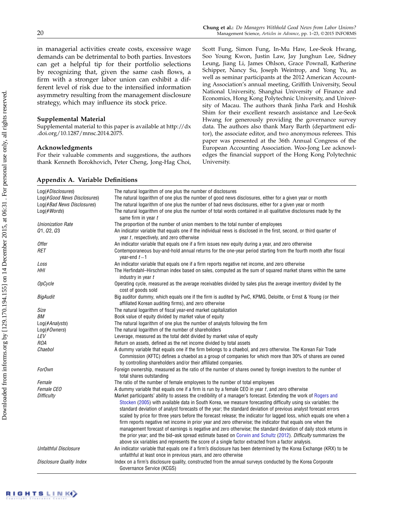in managerial activities create costs, excessive wage demands can be detrimental to both parties. Investors can get a helpful tip for their portfolio selections by recognizing that, given the same cash flows, a firm with a stronger labor union can exhibit a different level of risk due to the intensified information asymmetry resulting from the management disclosure strategy, which may influence its stock price.

## Supplemental Material

Supplemental material to this paper is available at http://dx .doi.org/10.1287/mnsc.2014.2075.

#### Acknowledgments

For their valuable comments and suggestions, the authors thank Kenneth Borokhovich, Peter Cheng, Jong-Hag Choi, Scott Fung, Simon Fung, In-Mu Haw, Lee-Seok Hwang, Soo Young Kwon, Justin Law, Jay Junghun Lee, Sidney Leung, Jiang Li, James Ohlson, Grace Pownall, Katherine Schipper, Nancy Su, Joseph Weintrop, and Yong Yu, as well as seminar participants at the 2012 American Accounting Association's annual meeting, Griffith University, Seoul National University, Shanghai University of Finance and Economics, Hong Kong Polytechnic University, and University of Macau. The authors thank Jinha Park and Hoshik Shim for their excellent research assistance and Lee-Seok Hwang for generously providing the governance survey data. The authors also thank Mary Barth (department editor), the associate editor, and two anonymous referees. This paper was presented at the 36th Annual Congress of the European Accounting Association. Woo-Jong Lee acknowledges the financial support of the Hong Kong Polytechnic University.

| Log(#Disclosures)               | The natural logarithm of one plus the number of disclosures                                                                                                                                                                                                                                                                                                                                                                                                                                                                                                                              |
|---------------------------------|------------------------------------------------------------------------------------------------------------------------------------------------------------------------------------------------------------------------------------------------------------------------------------------------------------------------------------------------------------------------------------------------------------------------------------------------------------------------------------------------------------------------------------------------------------------------------------------|
| Log(#Good News Disclosures)     | The natural logarithm of one plus the number of good news disclosures, either for a given year or month                                                                                                                                                                                                                                                                                                                                                                                                                                                                                  |
| Log(#Bad News Disclosures)      | The natural logarithm of one plus the number of bad news disclosures, either for a given year or month                                                                                                                                                                                                                                                                                                                                                                                                                                                                                   |
| $Log(\#Words)$                  | The natural logarithm of one plus the number of total words contained in all qualitative disclosures made by the<br>same firm in year t                                                                                                                                                                                                                                                                                                                                                                                                                                                  |
| <b>Unionization Rate</b>        | The proportion of the number of union members to the total number of employees                                                                                                                                                                                                                                                                                                                                                                                                                                                                                                           |
| Q1, Q2, Q3                      | An indicator variable that equals one if the individual news is disclosed in the first, second, or third quarter of<br>year $t$ , respectively, and zero otherwise                                                                                                                                                                                                                                                                                                                                                                                                                       |
| <b>Offer</b>                    | An indicator variable that equals one if a firm issues new equity during a year, and zero otherwise                                                                                                                                                                                                                                                                                                                                                                                                                                                                                      |
| RET                             | Contemporaneous buy-and-hold annual returns for the one-year period starting from the fourth month after fiscal<br>year-end $t-1$                                                                                                                                                                                                                                                                                                                                                                                                                                                        |
| Loss                            | An indicator variable that equals one if a firm reports negative net income, and zero otherwise                                                                                                                                                                                                                                                                                                                                                                                                                                                                                          |
| HHI                             | The Herfindahl-Hirschman index based on sales, computed as the sum of squared market shares within the same<br>industry in year t                                                                                                                                                                                                                                                                                                                                                                                                                                                        |
| <b>OpCycle</b>                  | Operating cycle, measured as the average receivables divided by sales plus the average inventory divided by the<br>cost of goods sold                                                                                                                                                                                                                                                                                                                                                                                                                                                    |
| <b>BigAudit</b>                 | Big auditor dummy, which equals one if the firm is audited by PwC, KPMG, Deloitte, or Ernst & Young (or their<br>affiliated Korean auditing firms), and zero otherwise                                                                                                                                                                                                                                                                                                                                                                                                                   |
| Size                            | The natural logarithm of fiscal year-end market capitalization                                                                                                                                                                                                                                                                                                                                                                                                                                                                                                                           |
| BМ                              | Book value of equity divided by market value of equity                                                                                                                                                                                                                                                                                                                                                                                                                                                                                                                                   |
| Log(#Analysts)                  | The natural logarithm of one plus the number of analysts following the firm                                                                                                                                                                                                                                                                                                                                                                                                                                                                                                              |
| $Log(\#Owners)$                 | The natural logarithm of the number of shareholders                                                                                                                                                                                                                                                                                                                                                                                                                                                                                                                                      |
| LEV                             | Leverage, measured as the total debt divided by market value of equity                                                                                                                                                                                                                                                                                                                                                                                                                                                                                                                   |
| <b>ROA</b>                      | Return on assets, defined as the net income divided by total assets                                                                                                                                                                                                                                                                                                                                                                                                                                                                                                                      |
| Chaebol                         | A dummy variable that equals one if the firm belongs to a chaebol, and zero otherwise. The Korean Fair Trade<br>Commission (KFTC) defines a chaebol as a group of companies for which more than 30% of shares are owned<br>by controlling shareholders and/or their affiliated companies.                                                                                                                                                                                                                                                                                                |
| <b>ForOwn</b>                   | Foreign ownership, measured as the ratio of the number of shares owned by foreign investors to the number of<br>total shares outstanding                                                                                                                                                                                                                                                                                                                                                                                                                                                 |
| Female                          | The ratio of the number of female employees to the number of total employees                                                                                                                                                                                                                                                                                                                                                                                                                                                                                                             |
| Female CEO                      | A dummy variable that equals one if a firm is run by a female CEO in year $t$ , and zero otherwise                                                                                                                                                                                                                                                                                                                                                                                                                                                                                       |
| <b>Difficulty</b>               | Market participants' ability to assess the credibility of a manager's forecast. Extending the work of Rogers and<br>Stocken (2005) with available data in South Korea, we measure forecasting difficulty using six variables: the<br>standard deviation of analyst forecasts of the year; the standard deviation of previous analyst forecast errors<br>scaled by price for three years before the forecast release; the indicator for lagged loss, which equals one when a<br>firm reports negative net income in prior year and zero otherwise; the indicator that equals one when the |
|                                 | management forecast of earnings is negative and zero otherwise; the standard deviation of daily stock returns in<br>the prior year; and the bid-ask spread estimate based on Corwin and Schultz (2012). Difficulty summarizes the<br>above six variables and represents the score of a single factor extracted from a factor analysis.                                                                                                                                                                                                                                                   |
| Unfaithful Disclosure           | An indicator variable that equals one if a firm's disclosure has been determined by the Korea Exchange (KRX) to be                                                                                                                                                                                                                                                                                                                                                                                                                                                                       |
| <b>Disclosure Quality Index</b> | unfaithful at least once in previous years, and zero otherwise<br>Index on a firm's disclosure quality, constructed from the annual surveys conducted by the Korea Corporate                                                                                                                                                                                                                                                                                                                                                                                                             |
|                                 | Governance Service (KCGS)                                                                                                                                                                                                                                                                                                                                                                                                                                                                                                                                                                |

## Appendix A. Variable Definitions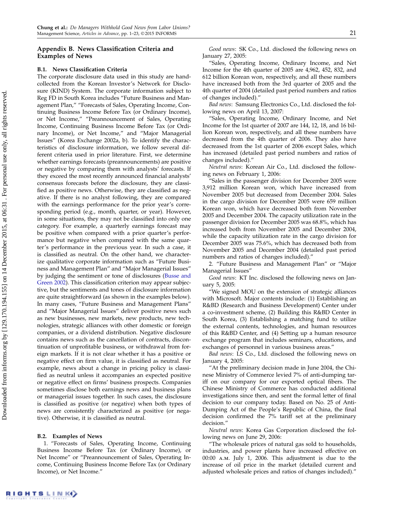## Appendix B. News Classification Criteria and Examples of News

### B.1. News Classification Criteria

The corporate disclosure data used in this study are handcollected from the Korean Investor's Network for Disclosure (KIND) System. The corporate information subject to Reg FD in South Korea includes "Future Business and Management Plan," "Forecasts of Sales, Operating Income, Continuing Business Income Before Tax (or Ordinary Income), or Net Income," "Preannouncement of Sales, Operating Income, Continuing Business Income Before Tax (or Ordinary Income), or Net Income," and "Major Managerial Issues" (Korea Exchange 2002a, b). To identify the characteristics of disclosure information, we follow several different criteria used in prior literature. First, we determine whether earnings forecasts (preannouncements) are positive or negative by comparing them with analysts' forecasts. If they exceed the most recently announced financial analysts' consensus forecasts before the disclosure, they are classified as positive news. Otherwise, they are classified as negative. If there is no analyst following, they are compared with the earnings performance for the prior year's corresponding period (e.g., month, quarter, or year). However, in some situations, they may not be classified into only one category. For example, a quarterly earnings forecast may be positive when compared with a prior quarter's performance but negative when compared with the same quarter's performance in the previous year. In such a case, it is classified as neutral. On the other hand, we characterize qualitative corporate information such as "Future Business and Management Plan" and "Major Managerial Issues" by judging the sentiment or tone of disclosures [\(Busse and](#page-22-51) [Green](#page-22-51) [2002\)](#page-22-51). This classification criterion may appear subjective, but the sentiments and tones of disclosure information are quite straightforward (as shown in the examples below). In many cases, "Future Business and Management Plans" and "Major Managerial Issues" deliver positive news such as new businesses, new markets, new products, new technologies, strategic alliances with other domestic or foreign companies, or a dividend distribution. Negative disclosure contains news such as the cancellation of contracts, discontinuation of unprofitable business, or withdrawal from foreign markets. If it is not clear whether it has a positive or negative effect on firm value, it is classified as neutral. For example, news about a change in pricing policy is classified as neutral unless it accompanies an expected positive or negative effect on firms' business prospects. Companies sometimes disclose both earnings news and business plans or managerial issues together. In such cases, the disclosure is classified as positive (or negative) when both types of news are consistently characterized as positive (or negative). Otherwise, it is classified as neutral.

#### B.2. Examples of News

1. "Forecasts of Sales, Operating Income, Continuing Business Income Before Tax (or Ordinary Income), or Net Income" or "Preannouncement of Sales, Operating Income, Continuing Business Income Before Tax (or Ordinary Income), or Net Income."

Good news: SK Co., Ltd. disclosed the following news on January 27, 2005:

"Sales, Operating Income, Ordinary Income, and Net Income for the 4th quarter of 2005 are 4,962, 452, 832, and 612 billion Korean won, respectively, and all these numbers have increased both from the 3rd quarter of 2005 and the 4th quarter of 2004 (detailed past period numbers and ratios of changes included)."

Bad news: Samsung Electronics Co., Ltd. disclosed the following news on April 13, 2007:

"Sales, Operating Income, Ordinary Income, and Net Income for the 1st quarter of 2007 are 144, 12, 18, and 16 billion Korean won, respectively, and all these numbers have decreased from the 4th quarter of 2006. They also have decreased from the 1st quarter of 2006 except Sales, which has increased (detailed past period numbers and ratios of changes included)."

Neutral news: Korean Air Co., Ltd. disclosed the following news on February 1, 2006:

"Sales in the passenger division for December 2005 were 3,912 million Korean won, which have increased from November 2005 but decreased from December 2004. Sales in the cargo division for December 2005 were 659 million Korean won, which have decreased both from November 2005 and December 2004. The capacity utilization rate in the passenger division for December 2005 was 68.8%, which has increased both from November 2005 and December 2004, while the capacity utilization rate in the cargo division for December 2005 was 75.6%, which has decreased both from November 2005 and December 2004 (detailed past period numbers and ratios of changes included)."

2. "Future Business and Management Plan" or "Major Managerial Issues"

Good news: KT Inc. disclosed the following news on January 5, 2005:

"We signed MOU on the extension of strategic alliances with Microsoft. Major contents include: (1) Establishing an R&BD (Research and Business Development) Center under a co-investment scheme, (2) Building this R&BD Center in South Korea, (3) Establishing a matching fund to utilize the external contents, technologies, and human resources of this R&BD Center, and (4) Setting up a human resource exchange program that includes seminars, educations, and exchanges of personnel in various business areas."

Bad news: LS Co., Ltd. disclosed the following news on January 4, 2005:

"At the preliminary decision made in June 2004, the Chinese Ministry of Commerce levied 7% of anti-dumping tariff on our company for our exported optical fibers. The Chinese Ministry of Commerce has conducted additional investigations since then, and sent the formal letter of final decision to our company today. Based on No. 25 of Anti-Dumping Act of the People's Republic of China, the final decision confirmed the 7% tariff set at the preliminary decision."

Neutral news: Korea Gas Corporation disclosed the following news on June 29, 2006:

"The wholesale prices of natural gas sold to households, industries, and power plants have increased effective on 00:00 a.m. July 1, 2006. This adjustment is due to the increase of oil price in the market (detailed current and adjusted wholesale prices and ratios of changes included)."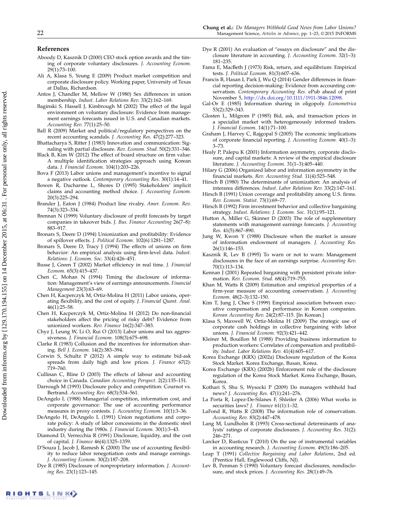#### References

- <span id="page-22-11"></span>Aboody D, Kasznik D (2000) CEO stock option awards and the timing of corporate voluntary disclosures. J. Accounting Econom. 29(1):73–100.
- <span id="page-22-49"></span>Ali A, Klasa S, Yeung E (2009) Product market competition and corporate disclosure policy. Working paper, University of Texas at Dallas, Richardson.
- <span id="page-22-42"></span>Antos J, Chandler M, Mellow W (1980) Sex differences in union membership. Indust. Labor Relations Rev. 33(2):162–169.
- <span id="page-22-26"></span>Baginski S, Hassell J, Kimbrough M (2002) The effect of the legal environment on voluntary disclosure: Evidence from management earnings forecasts issued in U.S. and Canadian markets. Accounting Rev. 77(1):25–50.
- <span id="page-22-21"></span>Ball R (2009) Market and political/regulatory perspectives on the recent accounting scandals. J. Accounting Res. 47(2):277–323.
- <span id="page-22-47"></span>Bhattacharya S, Ritter J (1983) Innovation and communication: Signaling with partial disclosure. Rev. Econom. Stud. 50(2):331–346.
- <span id="page-22-13"></span>Black B, Kim W (2012) The effect of board structure on firm value: A multiple identification strategies approach using Korean data. J. Financial Econom. 104(1):203–226.
- <span id="page-22-2"></span>Bova F (2013) Labor unions and management's incentive to signal a negative outlook. Contemporary Accounting Res. 30(1):14–41.
- <span id="page-22-3"></span>Bowen R, Ducharme L, Shores D (1995) Stakeholders' implicit claims and accounting method choice. J. Accounting Econom. 20(3):225–294.
- <span id="page-22-48"></span>Brander J, Eaton J (1984) Product line rivalry. Amer. Econom. Rev. 74(3):323–334.
- <span id="page-22-30"></span>Brennan N (1999) Voluntary disclosure of profit forecasts by target companies in takeover bids. J. Bus. Finance Accounting 26(7–8): 883–917.
- <span id="page-22-15"></span>Bronars S, Deere D (1994) Unionization and profitability: Evidence of spillover effects. J. Political Econom. 102(6):1281–1287.
- <span id="page-22-17"></span>Bronars S, Deere D, Tracy J (1994) The effects of unions on firm behavior: An empirical analysis using firm-level data. Indust. Relations: J. Econom. Soc. 33(4):426–451.
- <span id="page-22-51"></span>Busse J, Green T (2002) Market efficiency in real time. J. Financial Econom. 65(3):415–437.
- <span id="page-22-10"></span>Chen C, Mohan N (1994) Timing the disclosure of information: Management's view of earnings announcements. Financial Management 23(3):63–69.
- <span id="page-22-34"></span>Chen H, Kacperczyk M, Ortiz-Molina H (2011) Labor unions, operating flexibility, and the cost of equity. J. Financial Quant. Anal. 46(1):25–58.
- Chen H, Kacperczyk M, Ortiz-Molina H (2012) Do non-financial stakeholders affect the pricing of risky debt? Evidence from unionized workers. Rev. Finance 16(2):347–383.
- <span id="page-22-35"></span>Chyz J, Leung W, Li O, Rui O (2013) Labor unions and tax aggressiveness. J. Financial Econom. 108(3):675–698.
- <span id="page-22-45"></span>Clarke R (1983) Collusion and the incentives for information sharing. Bell J. Econom. 14(2):383–394.
- <span id="page-22-41"></span>Corwin S, Schultz P (2012) A simple way to estimate bid-ask spreads from daily high and low prices. J. Finance 67(2): 719–760.
- <span id="page-22-4"></span>Cullinan C, Bline D (2003) The effects of labour and accounting choice in Canada. Canadian Accounting Perspect. 2(2):135–151.
- <span id="page-22-50"></span>Darrough M (1993) Disclosure policy and competition: Cournot vs. Bertrand. Accounting Rev. 68(3):534–561.
- <span id="page-22-29"></span>DeAngelo L (1988) Managerial competition, information cost, and corporate governance: The use of accounting performance measures in proxy contests. J. Accounting Econom. 10(1):3–36.
- <span id="page-22-1"></span>DeAngelo H, DeAngelo L (1991) Union negotiations and corporate policy: A study of labor concessions in the domestic steel industry during the 1980s. J. Financial Econom. 30(1):3–43.
- <span id="page-22-20"></span>Diamond D, Verrecchia R (1991) Disclosure, liquidity, and the cost of capital. J. Finance 46(4):1325–1359.
- <span id="page-22-5"></span>D'Souza J, Jacob J, Ramesh K (2000) The use of accounting flexibility to reduce labor renegotiation costs and manage earnings. J. Accounting Econom. 30(2):187–208.
- <span id="page-22-38"></span>Dye R (1985) Disclosure of nonproprietary information. J. Accounting Res. 23(1):123–145.
- <span id="page-22-31"></span>Dye R (2001) An evaluation of "essays on disclosure" and the disclosure literature in accounting. J. Accounting Econom. 32(1–3): 181–235.
- <span id="page-22-33"></span>Fama E, MacBeth J (1973) Risk, return, and equilibrium: Empirical tests. J. Political Econom. 81(3):607–636.
- <span id="page-22-44"></span>Francis B, Hasan I, Park J, Wu Q (2014) Gender differences in financial reporting decision-making: Evidence from accounting conservatism. Contemporary Accounting Res. ePub ahead of print November 5, [http://dx.doi.org/10.1111/1911-3846.12098.](http://dx.doi.org/10.1111/1911-3846.12098)
- <span id="page-22-46"></span>Gal-Or E (1985) Information sharing in oligopoly. Econometrica 53(2):329–343.
- <span id="page-22-19"></span>Glosten L, Milgrom P (1985) Bid, ask, and transaction prices in a specialist market with heterogeneously informed traders. J. Financial Econom. 14(1):71–100.
- <span id="page-22-22"></span>Graham J, Harvey C, Rajgopal S (2005) The economic implications of corporate financial reporting. J. Accounting Econom. 40(1–3): 3–73.
- <span id="page-22-9"></span>Healy P, Palepu K (2001) Information asymmetry, corporate disclosure, and capital markets: A review of the empirical disclosure literature. J. Accounting Econom. 31(1–3):405–440.
- <span id="page-22-8"></span>Hilary G (2006) Organized labor and information asymmetry in the financial markets. Rev. Accounting Stud. 11(4):525–548.
- <span id="page-22-43"></span>Hirsch B (1980) The determinants of unionization: An analysis of interarea differences. Indust. Labor Relations Rev. 33(2):147–161.
- <span id="page-22-16"></span>Hirsch B (1991) Union coverage and profitability among U.S. firms. Rev. Econom. Statist. 73(1):69–77.
- <span id="page-22-18"></span>Hirsch B (1992) Firm investment behavior and collective bargaining strategy. Indust. Relations: J. Econom. Soc. 31(1):95–121.
- <span id="page-22-40"></span>Hutton A, Miller G, Skinner D (2003) The role of supplementary statements with management earnings forecasts. J. Accounting Res. 41(5):867–890.
- <span id="page-22-39"></span>Jung W, Kwon Y (1988) Disclosure when the market is unsure of information endowment of managers. J. Accounting Res. 26(1):146–153.
- <span id="page-22-25"></span>Kasznik R, Lev B (1995) To warn or not to warn: Management disclosures in the face of an earnings surprise. Accounting Rev. 70(1):113–134.
- <span id="page-22-37"></span>Kennan J (2001) Repeated bargaining with persistent private information. Rev. Econom. Stud. 68(4):719–755.
- <span id="page-22-23"></span>Khan M, Watts R (2009) Estimation and empirical properties of a firm-year measure of accounting conservatism. J. Accounting Econom. 48(2–3):132–150.
- <span id="page-22-14"></span>Kim T, Jung J, Chee S (1999) Empirical association between executive compensation and performance in Korean companies. Korean Accounting Rev. 24(2):87–115. [In Korean.]
- <span id="page-22-0"></span>Klasa S, Maxwell W, Ortiz-Molina H (2009) The strategic use of corporate cash holdings in collective bargaining with labor unions. J. Financial Econom. 92(3):421–442.
- <span id="page-22-6"></span>Kleiner M, Bouillon M (1988) Providing business information to production workers: Correlates of compensation and profitability. Indust. Labor Relations Rev. 41(4):605–617.
- Korea Exchange (KRX) (2002a) Disclosure regulation of the Korea Stock Market. Korea Exchange, Busan, Korea.
- Korea Exchange (KRX) (2002b) Enforcement rule of the disclosure regulation of the Korea Stock Market. Korea Exchange, Busan, Korea.
- <span id="page-22-12"></span>Kothari S, Shu S, Wysocki P (2009) Do managers withhold bad news? J. Accounting Res. 47(1):241–276.
- <span id="page-22-32"></span>La Porta R, Lopez-De-Silanes F, Shleifer A (2006) What works in securities laws? J. Finance 61(1):1-32.
- <span id="page-22-24"></span>LaFond R, Watts R (2008) The information role of conservatism. Accounting Rev. 83(2):447–478.
- <span id="page-22-28"></span>Lang M, Lundholm R (1993) Cross-sectional determinants of analysts' ratings of corporate disclosures. J. Accounting Res. 31(2): 246–271.
- <span id="page-22-27"></span>Larcker D, Rusticus T (2010) On the use of instrumental variables in accounting research. J. Accounting Econom. 49(3):186–205.
- <span id="page-22-7"></span>Leap T (1991) Collective Bargaining and Labor Relations, 2nd ed. (Prentice Hall, Englewood Cliffs, NJ).
- <span id="page-22-36"></span>Lev B, Penman S (1990) Voluntary forecast disclosures, nondisclosure, and stock prices. J. Accounting Res. 28(1):49–76.